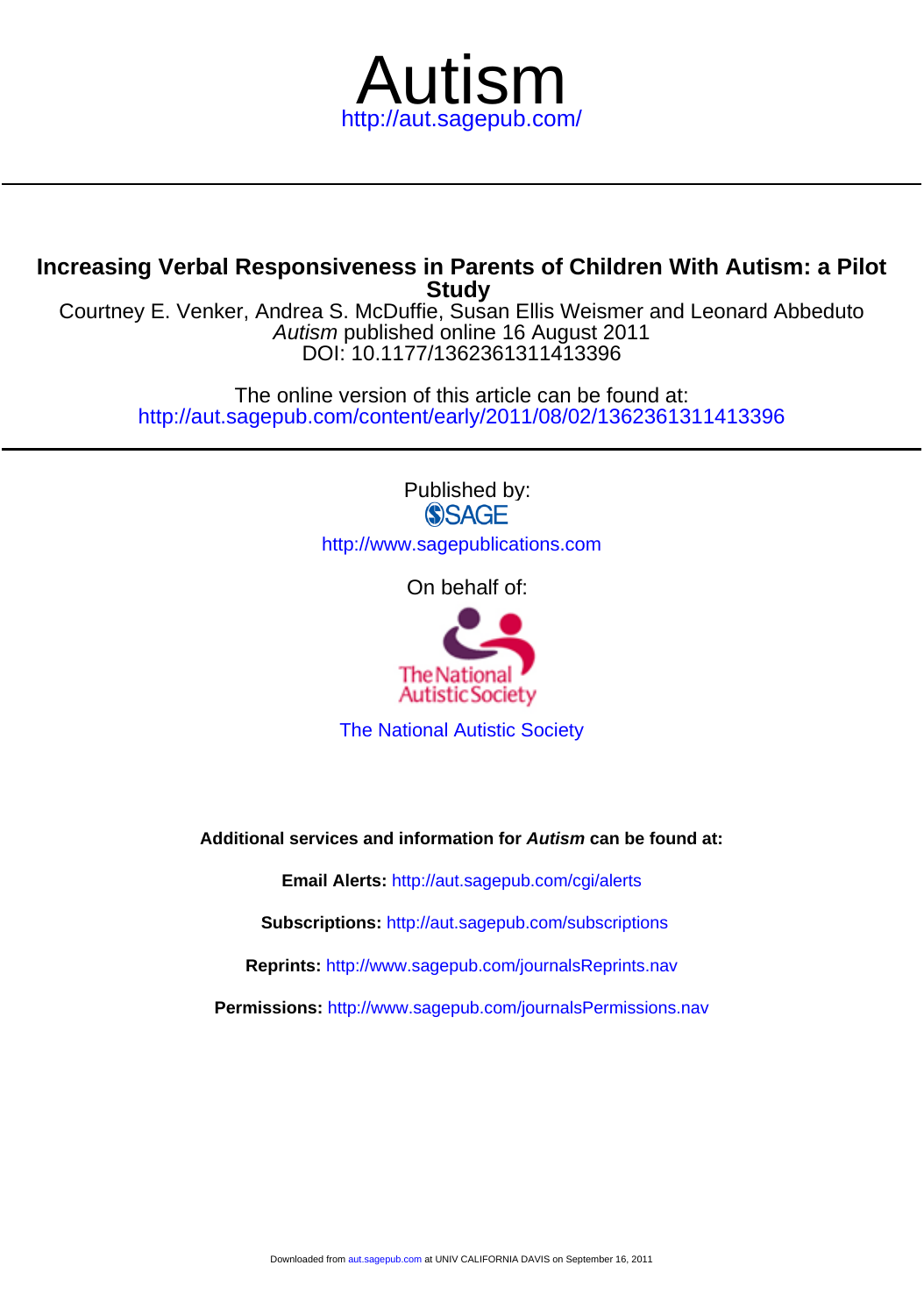

# **Study Increasing Verbal Responsiveness in Parents of Children With Autism: a Pilot**

DOI: 10.1177/1362361311413396 Autism published online 16 August 2011 Courtney E. Venker, Andrea S. McDuffie, Susan Ellis Weismer and Leonard Abbeduto

<http://aut.sagepub.com/content/early/2011/08/02/1362361311413396> The online version of this article can be found at:

Published by:<br>
SAGE

<http://www.sagepublications.com>

On behalf of:



[The National Autistic Society](http://www.nas.org.uk)

**Additional services and information for Autism can be found at:**

**Email Alerts:** <http://aut.sagepub.com/cgi/alerts>

**Subscriptions:** <http://aut.sagepub.com/subscriptions>

**Reprints:** <http://www.sagepub.com/journalsReprints.nav>

**Permissions:** <http://www.sagepub.com/journalsPermissions.nav>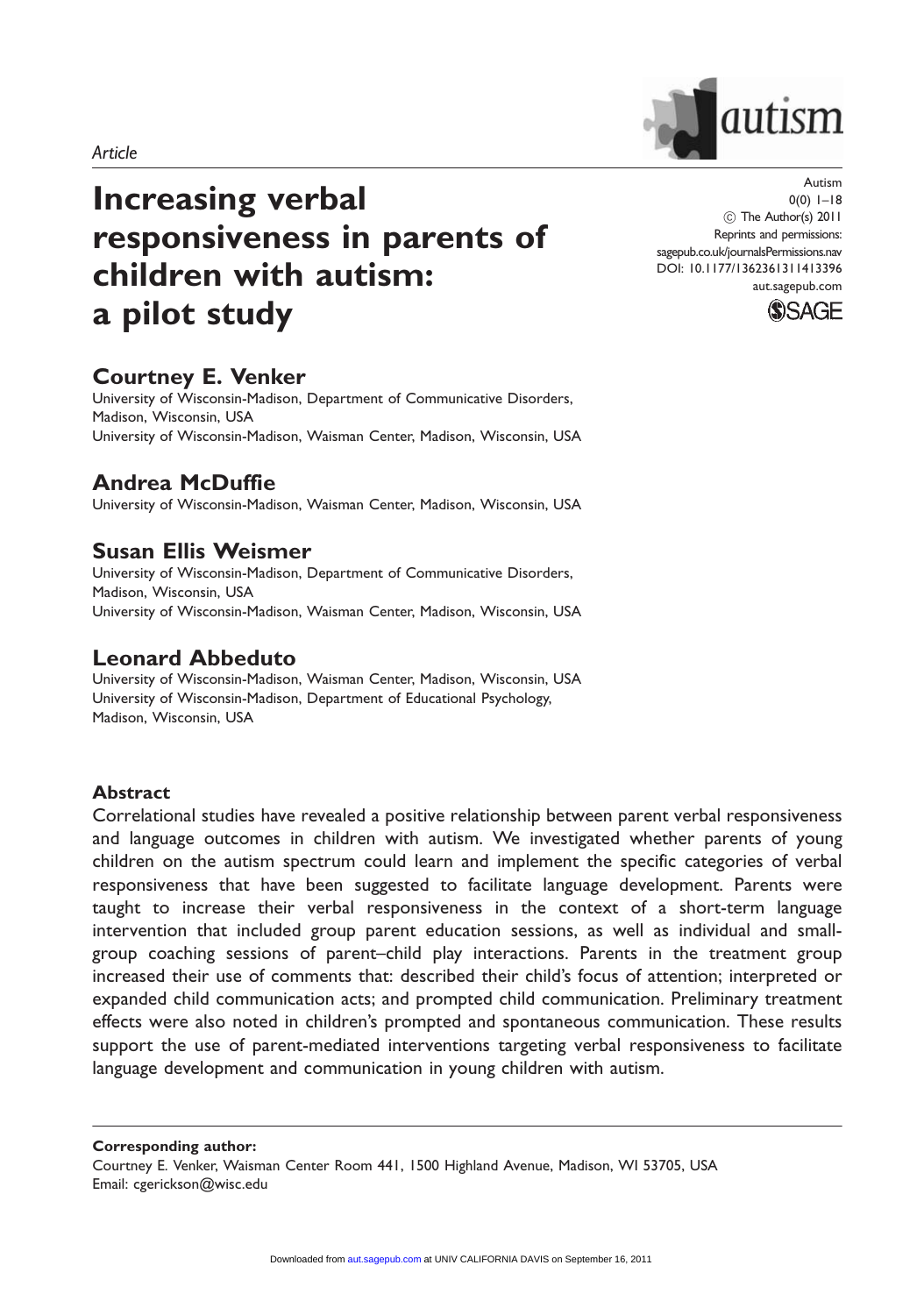

# Increasing verbal responsiveness in parents of children with autism: a pilot study

Autism 0(0) 1–18 ! The Author(s) 2011 Reprints and permissions: sagepub.co.uk/journalsPermissions.nav DOI: 10.1177/1362361311413396 aut.sagepub.com



# Courtney E. Venker

Article

University of Wisconsin-Madison, Department of Communicative Disorders, Madison, Wisconsin, USA University of Wisconsin-Madison, Waisman Center, Madison, Wisconsin, USA

# Andrea McDuffie

University of Wisconsin-Madison, Waisman Center, Madison, Wisconsin, USA

# Susan Ellis Weismer

University of Wisconsin-Madison, Department of Communicative Disorders, Madison, Wisconsin, USA University of Wisconsin-Madison, Waisman Center, Madison, Wisconsin, USA

# Leonard Abbeduto

University of Wisconsin-Madison, Waisman Center, Madison, Wisconsin, USA University of Wisconsin-Madison, Department of Educational Psychology, Madison, Wisconsin, USA

### **Abstract**

Correlational studies have revealed a positive relationship between parent verbal responsiveness and language outcomes in children with autism. We investigated whether parents of young children on the autism spectrum could learn and implement the specific categories of verbal responsiveness that have been suggested to facilitate language development. Parents were taught to increase their verbal responsiveness in the context of a short-term language intervention that included group parent education sessions, as well as individual and smallgroup coaching sessions of parent–child play interactions. Parents in the treatment group increased their use of comments that: described their child's focus of attention; interpreted or expanded child communication acts; and prompted child communication. Preliminary treatment effects were also noted in children's prompted and spontaneous communication. These results support the use of parent-mediated interventions targeting verbal responsiveness to facilitate language development and communication in young children with autism.

Corresponding author: Courtney E. Venker, Waisman Center Room 441, 1500 Highland Avenue, Madison, WI 53705, USA Email: cgerickson@wisc.edu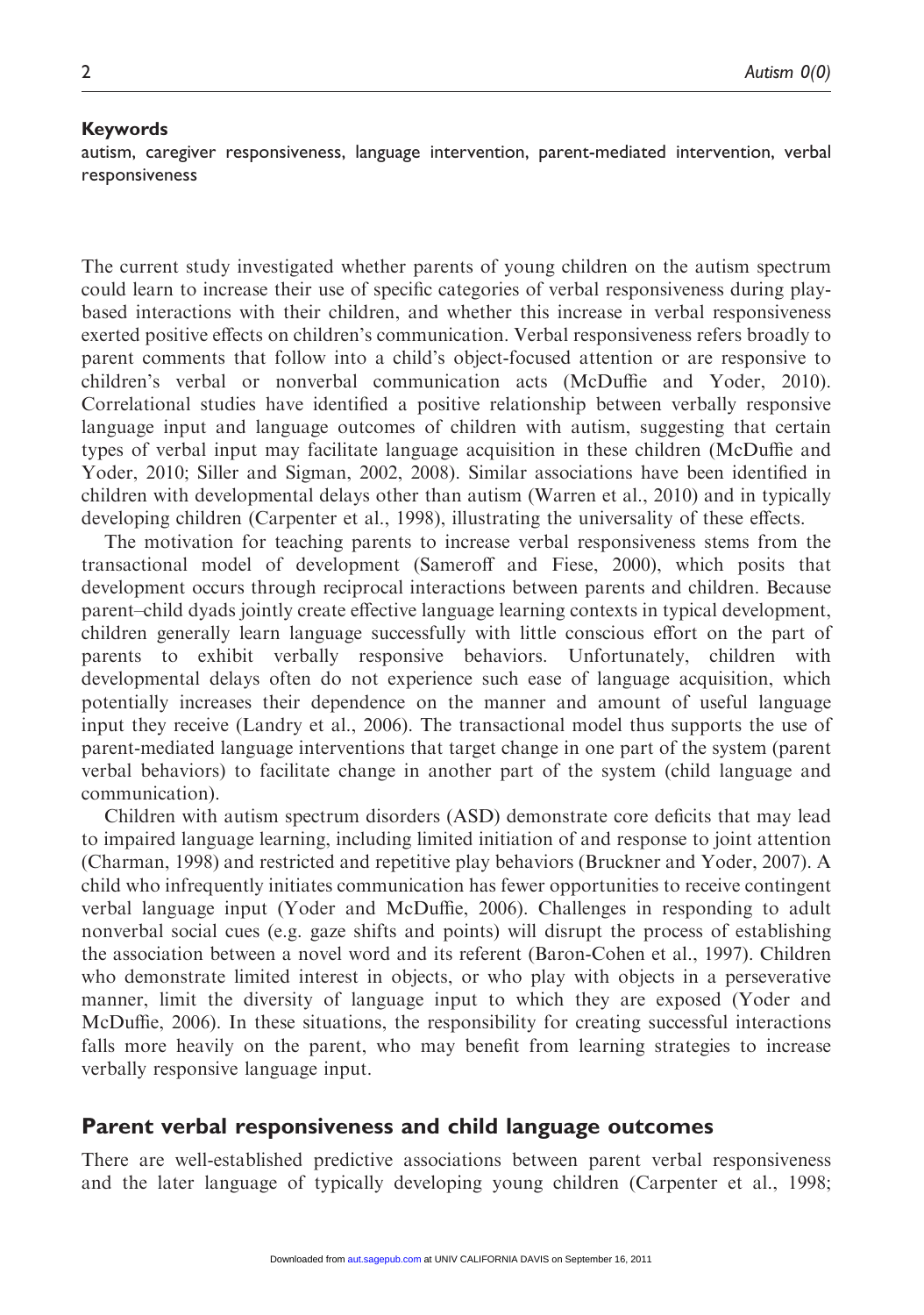#### Keywords

autism, caregiver responsiveness, language intervention, parent-mediated intervention, verbal responsiveness

The current study investigated whether parents of young children on the autism spectrum could learn to increase their use of specific categories of verbal responsiveness during playbased interactions with their children, and whether this increase in verbal responsiveness exerted positive effects on children's communication. Verbal responsiveness refers broadly to parent comments that follow into a child's object-focused attention or are responsive to children's verbal or nonverbal communication acts (McDuffie and Yoder, 2010). Correlational studies have identified a positive relationship between verbally responsive language input and language outcomes of children with autism, suggesting that certain types of verbal input may facilitate language acquisition in these children (McDuffie and Yoder, 2010; Siller and Sigman, 2002, 2008). Similar associations have been identified in children with developmental delays other than autism (Warren et al., 2010) and in typically developing children (Carpenter et al., 1998), illustrating the universality of these effects.

The motivation for teaching parents to increase verbal responsiveness stems from the transactional model of development (Sameroff and Fiese, 2000), which posits that development occurs through reciprocal interactions between parents and children. Because parent–child dyads jointly create effective language learning contexts in typical development, children generally learn language successfully with little conscious effort on the part of parents to exhibit verbally responsive behaviors. Unfortunately, children with developmental delays often do not experience such ease of language acquisition, which potentially increases their dependence on the manner and amount of useful language input they receive (Landry et al., 2006). The transactional model thus supports the use of parent-mediated language interventions that target change in one part of the system (parent verbal behaviors) to facilitate change in another part of the system (child language and communication).

Children with autism spectrum disorders (ASD) demonstrate core deficits that may lead to impaired language learning, including limited initiation of and response to joint attention (Charman, 1998) and restricted and repetitive play behaviors (Bruckner and Yoder, 2007). A child who infrequently initiates communication has fewer opportunities to receive contingent verbal language input (Yoder and McDuffie, 2006). Challenges in responding to adult nonverbal social cues (e.g. gaze shifts and points) will disrupt the process of establishing the association between a novel word and its referent (Baron-Cohen et al., 1997). Children who demonstrate limited interest in objects, or who play with objects in a perseverative manner, limit the diversity of language input to which they are exposed (Yoder and McDuffie, 2006). In these situations, the responsibility for creating successful interactions falls more heavily on the parent, who may benefit from learning strategies to increase verbally responsive language input.

#### Parent verbal responsiveness and child language outcomes

There are well-established predictive associations between parent verbal responsiveness and the later language of typically developing young children (Carpenter et al., 1998;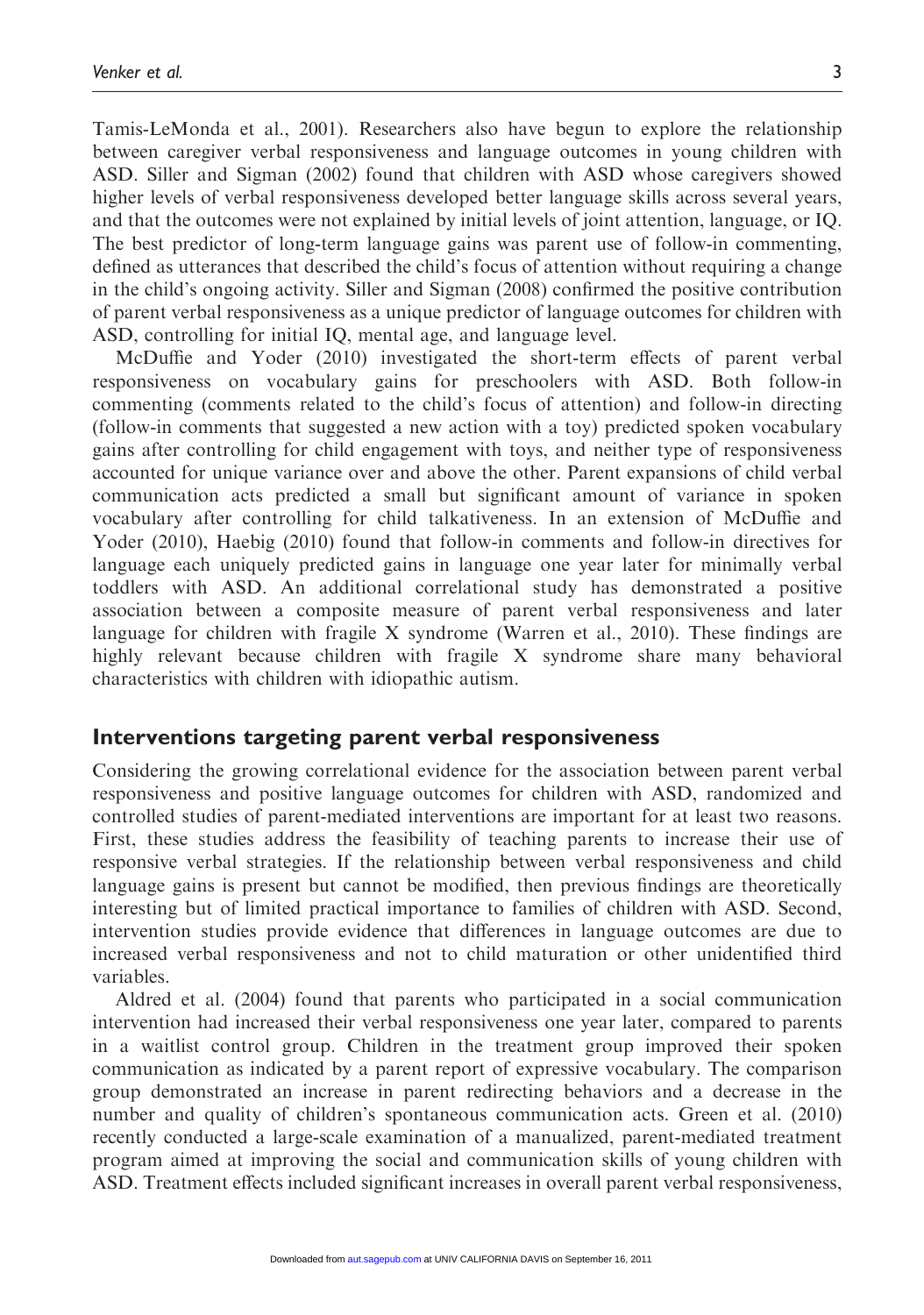Tamis-LeMonda et al., 2001). Researchers also have begun to explore the relationship between caregiver verbal responsiveness and language outcomes in young children with ASD. Siller and Sigman (2002) found that children with ASD whose caregivers showed higher levels of verbal responsiveness developed better language skills across several years, and that the outcomes were not explained by initial levels of joint attention, language, or IQ. The best predictor of long-term language gains was parent use of follow-in commenting, defined as utterances that described the child's focus of attention without requiring a change in the child's ongoing activity. Siller and Sigman (2008) confirmed the positive contribution of parent verbal responsiveness as a unique predictor of language outcomes for children with ASD, controlling for initial IQ, mental age, and language level.

McDuffie and Yoder (2010) investigated the short-term effects of parent verbal responsiveness on vocabulary gains for preschoolers with ASD. Both follow-in commenting (comments related to the child's focus of attention) and follow-in directing (follow-in comments that suggested a new action with a toy) predicted spoken vocabulary gains after controlling for child engagement with toys, and neither type of responsiveness accounted for unique variance over and above the other. Parent expansions of child verbal communication acts predicted a small but significant amount of variance in spoken vocabulary after controlling for child talkativeness. In an extension of McDuffie and Yoder (2010), Haebig (2010) found that follow-in comments and follow-in directives for language each uniquely predicted gains in language one year later for minimally verbal toddlers with ASD. An additional correlational study has demonstrated a positive association between a composite measure of parent verbal responsiveness and later language for children with fragile X syndrome (Warren et al., 2010). These findings are highly relevant because children with fragile X syndrome share many behavioral characteristics with children with idiopathic autism.

#### Interventions targeting parent verbal responsiveness

Considering the growing correlational evidence for the association between parent verbal responsiveness and positive language outcomes for children with ASD, randomized and controlled studies of parent-mediated interventions are important for at least two reasons. First, these studies address the feasibility of teaching parents to increase their use of responsive verbal strategies. If the relationship between verbal responsiveness and child language gains is present but cannot be modified, then previous findings are theoretically interesting but of limited practical importance to families of children with ASD. Second, intervention studies provide evidence that differences in language outcomes are due to increased verbal responsiveness and not to child maturation or other unidentified third variables.

Aldred et al. (2004) found that parents who participated in a social communication intervention had increased their verbal responsiveness one year later, compared to parents in a waitlist control group. Children in the treatment group improved their spoken communication as indicated by a parent report of expressive vocabulary. The comparison group demonstrated an increase in parent redirecting behaviors and a decrease in the number and quality of children's spontaneous communication acts. Green et al. (2010) recently conducted a large-scale examination of a manualized, parent-mediated treatment program aimed at improving the social and communication skills of young children with ASD. Treatment effects included significant increases in overall parent verbal responsiveness,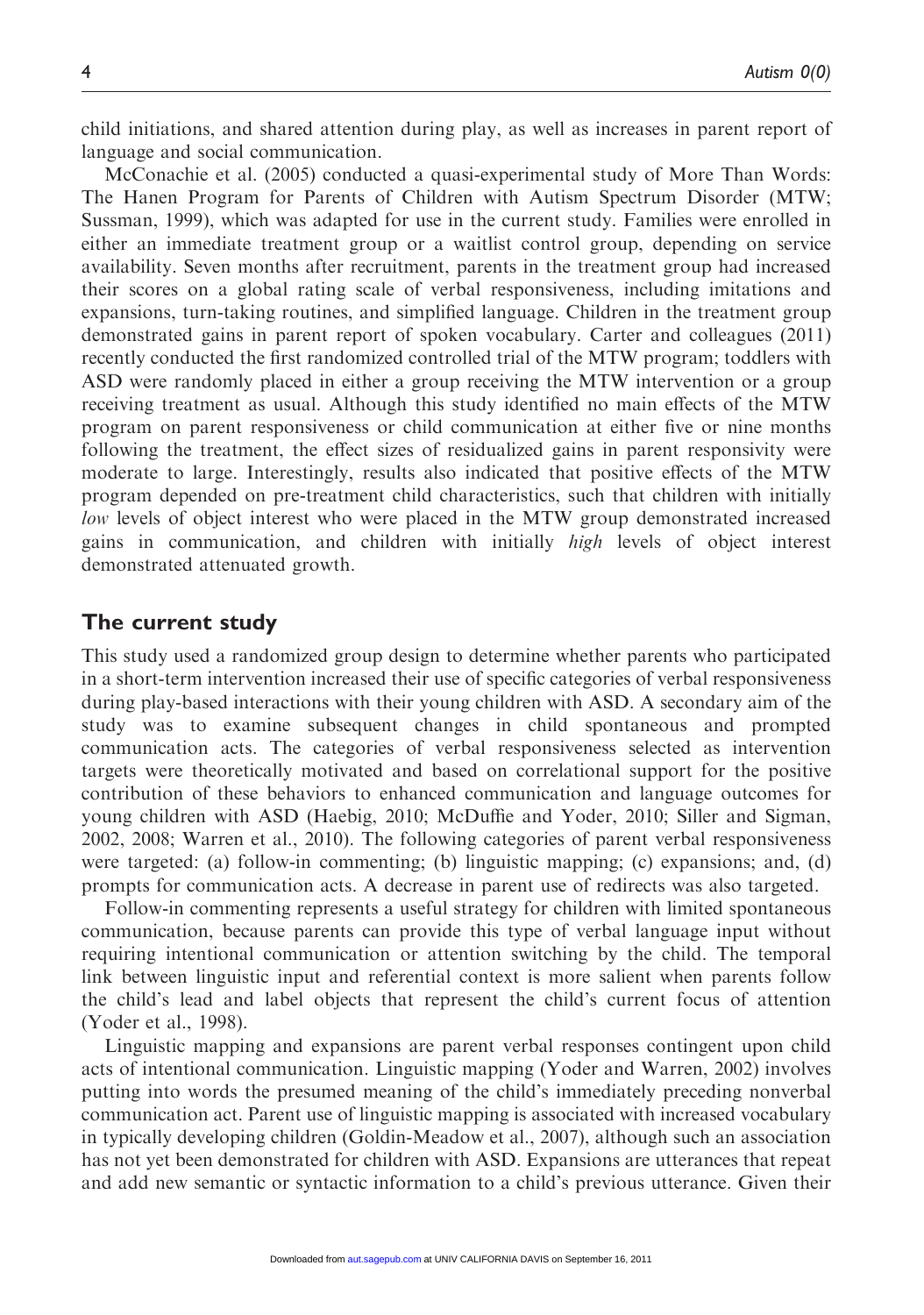child initiations, and shared attention during play, as well as increases in parent report of language and social communication.

McConachie et al. (2005) conducted a quasi-experimental study of More Than Words: The Hanen Program for Parents of Children with Autism Spectrum Disorder (MTW; Sussman, 1999), which was adapted for use in the current study. Families were enrolled in either an immediate treatment group or a waitlist control group, depending on service availability. Seven months after recruitment, parents in the treatment group had increased their scores on a global rating scale of verbal responsiveness, including imitations and expansions, turn-taking routines, and simplified language. Children in the treatment group demonstrated gains in parent report of spoken vocabulary. Carter and colleagues (2011) recently conducted the first randomized controlled trial of the MTW program; toddlers with ASD were randomly placed in either a group receiving the MTW intervention or a group receiving treatment as usual. Although this study identified no main effects of the MTW program on parent responsiveness or child communication at either five or nine months following the treatment, the effect sizes of residualized gains in parent responsivity were moderate to large. Interestingly, results also indicated that positive effects of the MTW program depended on pre-treatment child characteristics, such that children with initially low levels of object interest who were placed in the MTW group demonstrated increased gains in communication, and children with initially high levels of object interest demonstrated attenuated growth.

#### The current study

This study used a randomized group design to determine whether parents who participated in a short-term intervention increased their use of specific categories of verbal responsiveness during play-based interactions with their young children with ASD. A secondary aim of the study was to examine subsequent changes in child spontaneous and prompted communication acts. The categories of verbal responsiveness selected as intervention targets were theoretically motivated and based on correlational support for the positive contribution of these behaviors to enhanced communication and language outcomes for young children with ASD (Haebig, 2010; McDuffie and Yoder, 2010; Siller and Sigman, 2002, 2008; Warren et al., 2010). The following categories of parent verbal responsiveness were targeted: (a) follow-in commenting; (b) linguistic mapping; (c) expansions; and, (d) prompts for communication acts. A decrease in parent use of redirects was also targeted.

Follow-in commenting represents a useful strategy for children with limited spontaneous communication, because parents can provide this type of verbal language input without requiring intentional communication or attention switching by the child. The temporal link between linguistic input and referential context is more salient when parents follow the child's lead and label objects that represent the child's current focus of attention (Yoder et al., 1998).

Linguistic mapping and expansions are parent verbal responses contingent upon child acts of intentional communication. Linguistic mapping (Yoder and Warren, 2002) involves putting into words the presumed meaning of the child's immediately preceding nonverbal communication act. Parent use of linguistic mapping is associated with increased vocabulary in typically developing children (Goldin-Meadow et al., 2007), although such an association has not yet been demonstrated for children with ASD. Expansions are utterances that repeat and add new semantic or syntactic information to a child's previous utterance. Given their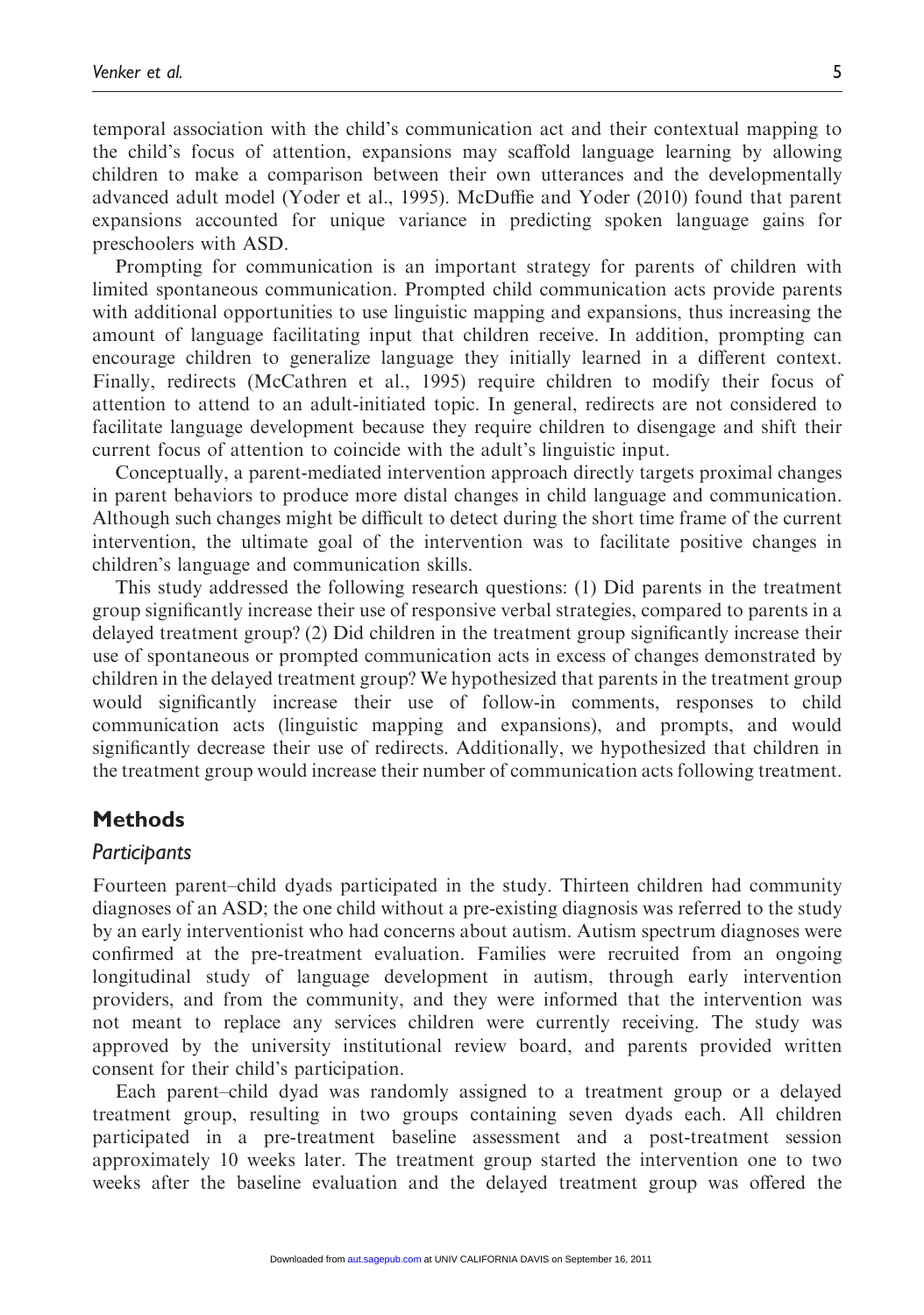temporal association with the child's communication act and their contextual mapping to the child's focus of attention, expansions may scaffold language learning by allowing children to make a comparison between their own utterances and the developmentally advanced adult model (Yoder et al., 1995). McDuffie and Yoder (2010) found that parent expansions accounted for unique variance in predicting spoken language gains for preschoolers with ASD.

Prompting for communication is an important strategy for parents of children with limited spontaneous communication. Prompted child communication acts provide parents with additional opportunities to use linguistic mapping and expansions, thus increasing the amount of language facilitating input that children receive. In addition, prompting can encourage children to generalize language they initially learned in a different context. Finally, redirects (McCathren et al., 1995) require children to modify their focus of attention to attend to an adult-initiated topic. In general, redirects are not considered to facilitate language development because they require children to disengage and shift their current focus of attention to coincide with the adult's linguistic input.

Conceptually, a parent-mediated intervention approach directly targets proximal changes in parent behaviors to produce more distal changes in child language and communication. Although such changes might be difficult to detect during the short time frame of the current intervention, the ultimate goal of the intervention was to facilitate positive changes in children's language and communication skills.

This study addressed the following research questions: (1) Did parents in the treatment group significantly increase their use of responsive verbal strategies, compared to parents in a delayed treatment group? (2) Did children in the treatment group significantly increase their use of spontaneous or prompted communication acts in excess of changes demonstrated by children in the delayed treatment group? We hypothesized that parents in the treatment group would significantly increase their use of follow-in comments, responses to child communication acts (linguistic mapping and expansions), and prompts, and would significantly decrease their use of redirects. Additionally, we hypothesized that children in the treatment group would increase their number of communication acts following treatment.

# **Methods**

#### **Participants**

Fourteen parent–child dyads participated in the study. Thirteen children had community diagnoses of an ASD; the one child without a pre-existing diagnosis was referred to the study by an early interventionist who had concerns about autism. Autism spectrum diagnoses were confirmed at the pre-treatment evaluation. Families were recruited from an ongoing longitudinal study of language development in autism, through early intervention providers, and from the community, and they were informed that the intervention was not meant to replace any services children were currently receiving. The study was approved by the university institutional review board, and parents provided written consent for their child's participation.

Each parent–child dyad was randomly assigned to a treatment group or a delayed treatment group, resulting in two groups containing seven dyads each. All children participated in a pre-treatment baseline assessment and a post-treatment session approximately 10 weeks later. The treatment group started the intervention one to two weeks after the baseline evaluation and the delayed treatment group was offered the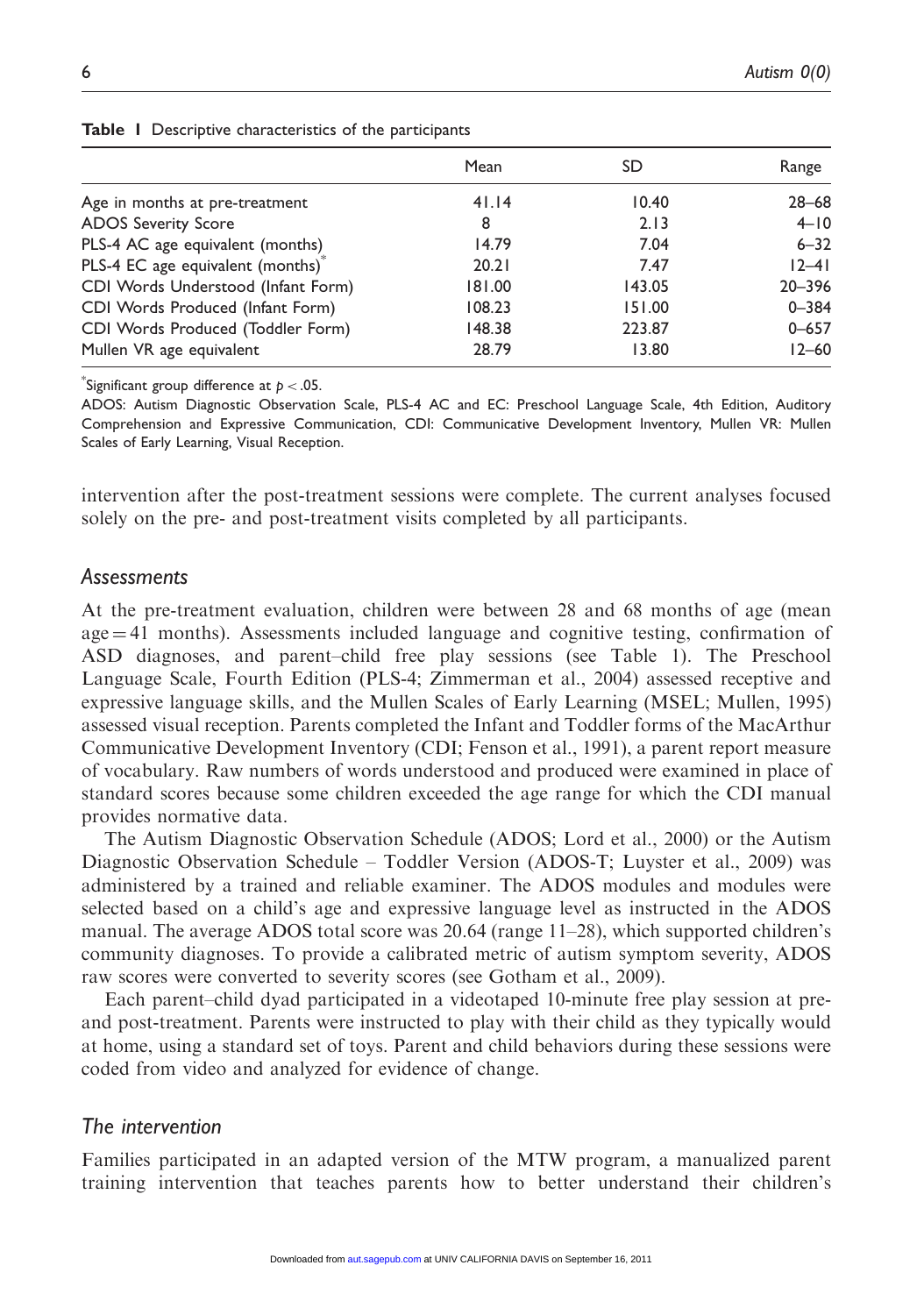|                                               | Mean   | SD     | Range      |
|-----------------------------------------------|--------|--------|------------|
| Age in months at pre-treatment                | 41.14  | 10.40  | $28 - 68$  |
| <b>ADOS Severity Score</b>                    | 8      | 2.13   | $4 - 10$   |
| PLS-4 AC age equivalent (months)              | 14.79  | 7.04   | $6 - 32$   |
| PLS-4 EC age equivalent (months) <sup>*</sup> | 20.21  | 7.47   | $12 - 41$  |
| CDI Words Understood (Infant Form)            | 181.00 | 143.05 | $20 - 396$ |
| CDI Words Produced (Infant Form)              | 108.23 | 151.00 | $0 - 384$  |
| CDI Words Produced (Toddler Form)             | 148.38 | 223.87 | $0 - 657$  |
| Mullen VR age equivalent                      | 28.79  | 13.80  | $12 - 60$  |
|                                               |        |        |            |

Table I Descriptive characteristics of the participants

 $\displaystyle{ }^*$ Significant group difference at  $p < .05.$ 

ADOS: Autism Diagnostic Observation Scale, PLS-4 AC and EC: Preschool Language Scale, 4th Edition, Auditory Comprehension and Expressive Communication, CDI: Communicative Development Inventory, Mullen VR: Mullen Scales of Early Learning, Visual Reception.

intervention after the post-treatment sessions were complete. The current analyses focused solely on the pre- and post-treatment visits completed by all participants.

#### Assessments

At the pre-treatment evaluation, children were between 28 and 68 months of age (mean  $age = 41$  months). Assessments included language and cognitive testing, confirmation of ASD diagnoses, and parent–child free play sessions (see Table 1). The Preschool Language Scale, Fourth Edition (PLS-4; Zimmerman et al., 2004) assessed receptive and expressive language skills, and the Mullen Scales of Early Learning (MSEL; Mullen, 1995) assessed visual reception. Parents completed the Infant and Toddler forms of the MacArthur Communicative Development Inventory (CDI; Fenson et al., 1991), a parent report measure of vocabulary. Raw numbers of words understood and produced were examined in place of standard scores because some children exceeded the age range for which the CDI manual provides normative data.

The Autism Diagnostic Observation Schedule (ADOS; Lord et al., 2000) or the Autism Diagnostic Observation Schedule – Toddler Version (ADOS-T; Luyster et al., 2009) was administered by a trained and reliable examiner. The ADOS modules and modules were selected based on a child's age and expressive language level as instructed in the ADOS manual. The average ADOS total score was 20.64 (range 11–28), which supported children's community diagnoses. To provide a calibrated metric of autism symptom severity, ADOS raw scores were converted to severity scores (see Gotham et al., 2009).

Each parent–child dyad participated in a videotaped 10-minute free play session at preand post-treatment. Parents were instructed to play with their child as they typically would at home, using a standard set of toys. Parent and child behaviors during these sessions were coded from video and analyzed for evidence of change.

#### The intervention

Families participated in an adapted version of the MTW program, a manualized parent training intervention that teaches parents how to better understand their children's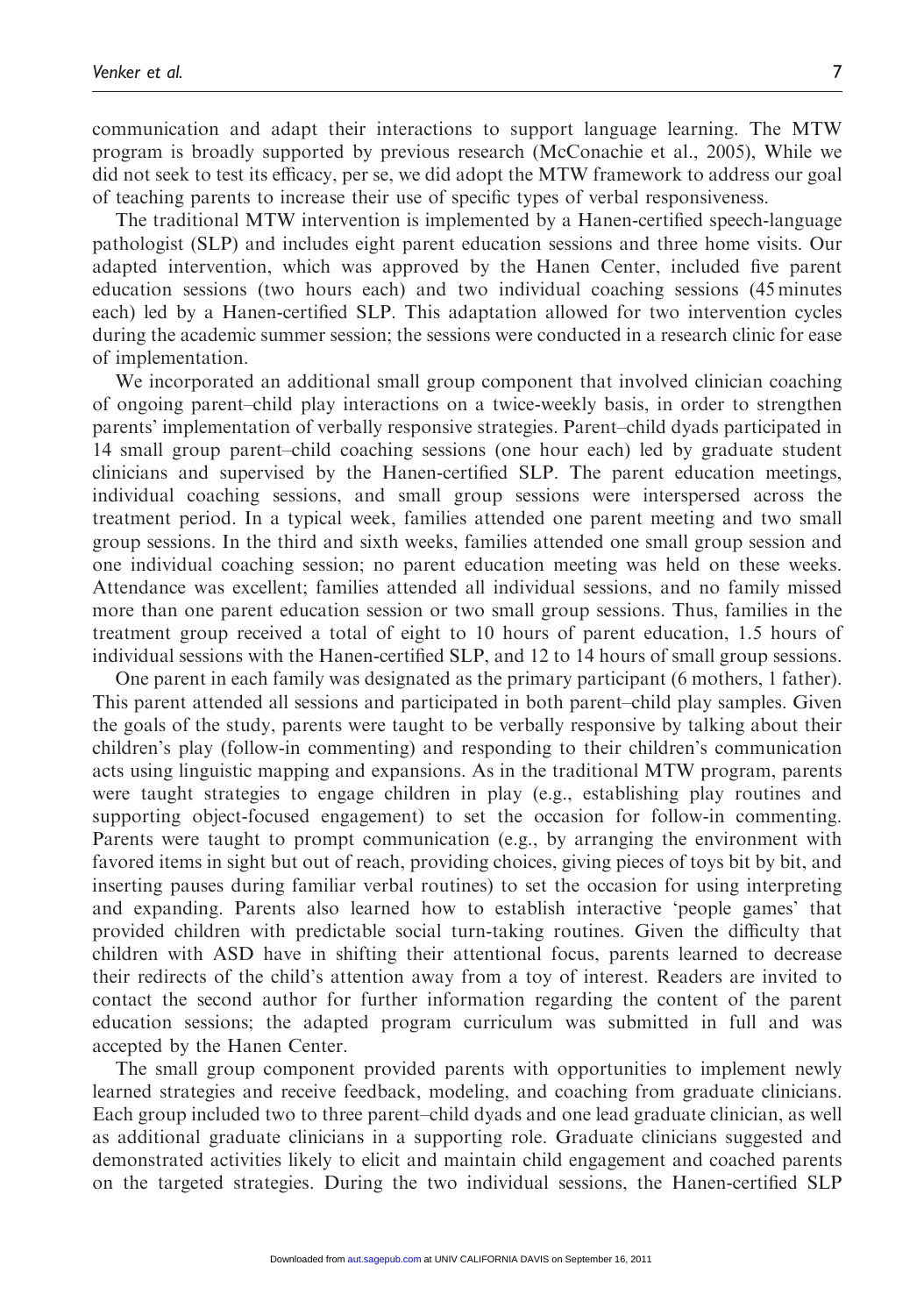communication and adapt their interactions to support language learning. The MTW program is broadly supported by previous research (McConachie et al., 2005), While we did not seek to test its efficacy, per se, we did adopt the MTW framework to address our goal of teaching parents to increase their use of specific types of verbal responsiveness.

The traditional MTW intervention is implemented by a Hanen-certified speech-language pathologist (SLP) and includes eight parent education sessions and three home visits. Our adapted intervention, which was approved by the Hanen Center, included five parent education sessions (two hours each) and two individual coaching sessions (45 minutes each) led by a Hanen-certified SLP. This adaptation allowed for two intervention cycles during the academic summer session; the sessions were conducted in a research clinic for ease of implementation.

We incorporated an additional small group component that involved clinician coaching of ongoing parent–child play interactions on a twice-weekly basis, in order to strengthen parents' implementation of verbally responsive strategies. Parent–child dyads participated in 14 small group parent–child coaching sessions (one hour each) led by graduate student clinicians and supervised by the Hanen-certified SLP. The parent education meetings, individual coaching sessions, and small group sessions were interspersed across the treatment period. In a typical week, families attended one parent meeting and two small group sessions. In the third and sixth weeks, families attended one small group session and one individual coaching session; no parent education meeting was held on these weeks. Attendance was excellent; families attended all individual sessions, and no family missed more than one parent education session or two small group sessions. Thus, families in the treatment group received a total of eight to 10 hours of parent education, 1.5 hours of individual sessions with the Hanen-certified SLP, and 12 to 14 hours of small group sessions.

One parent in each family was designated as the primary participant (6 mothers, 1 father). This parent attended all sessions and participated in both parent–child play samples. Given the goals of the study, parents were taught to be verbally responsive by talking about their children's play (follow-in commenting) and responding to their children's communication acts using linguistic mapping and expansions. As in the traditional MTW program, parents were taught strategies to engage children in play (e.g., establishing play routines and supporting object-focused engagement) to set the occasion for follow-in commenting. Parents were taught to prompt communication (e.g., by arranging the environment with favored items in sight but out of reach, providing choices, giving pieces of toys bit by bit, and inserting pauses during familiar verbal routines) to set the occasion for using interpreting and expanding. Parents also learned how to establish interactive 'people games' that provided children with predictable social turn-taking routines. Given the difficulty that children with ASD have in shifting their attentional focus, parents learned to decrease their redirects of the child's attention away from a toy of interest. Readers are invited to contact the second author for further information regarding the content of the parent education sessions; the adapted program curriculum was submitted in full and was accepted by the Hanen Center.

The small group component provided parents with opportunities to implement newly learned strategies and receive feedback, modeling, and coaching from graduate clinicians. Each group included two to three parent–child dyads and one lead graduate clinician, as well as additional graduate clinicians in a supporting role. Graduate clinicians suggested and demonstrated activities likely to elicit and maintain child engagement and coached parents on the targeted strategies. During the two individual sessions, the Hanen-certified SLP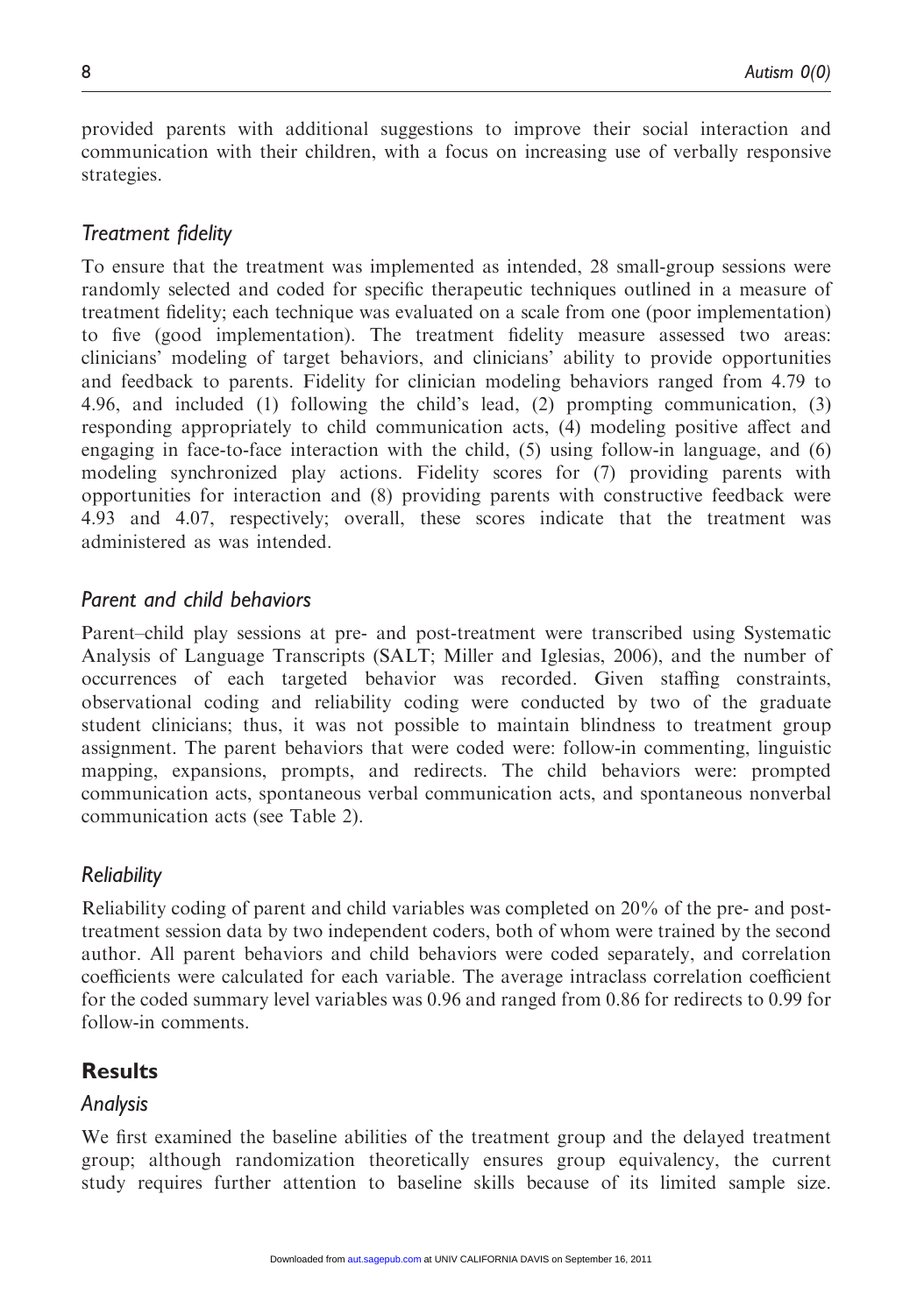provided parents with additional suggestions to improve their social interaction and communication with their children, with a focus on increasing use of verbally responsive strategies.

# Treatment fidelity

To ensure that the treatment was implemented as intended, 28 small-group sessions were randomly selected and coded for specific therapeutic techniques outlined in a measure of treatment fidelity; each technique was evaluated on a scale from one (poor implementation) to five (good implementation). The treatment fidelity measure assessed two areas: clinicians' modeling of target behaviors, and clinicians' ability to provide opportunities and feedback to parents. Fidelity for clinician modeling behaviors ranged from 4.79 to 4.96, and included (1) following the child's lead, (2) prompting communication, (3) responding appropriately to child communication acts, (4) modeling positive affect and engaging in face-to-face interaction with the child, (5) using follow-in language, and (6) modeling synchronized play actions. Fidelity scores for (7) providing parents with opportunities for interaction and (8) providing parents with constructive feedback were 4.93 and 4.07, respectively; overall, these scores indicate that the treatment was administered as was intended.

# Parent and child behaviors

Parent–child play sessions at pre- and post-treatment were transcribed using Systematic Analysis of Language Transcripts (SALT; Miller and Iglesias, 2006), and the number of occurrences of each targeted behavior was recorded. Given staffing constraints, observational coding and reliability coding were conducted by two of the graduate student clinicians; thus, it was not possible to maintain blindness to treatment group assignment. The parent behaviors that were coded were: follow-in commenting, linguistic mapping, expansions, prompts, and redirects. The child behaviors were: prompted communication acts, spontaneous verbal communication acts, and spontaneous nonverbal communication acts (see Table 2).

# **Reliability**

Reliability coding of parent and child variables was completed on 20% of the pre- and posttreatment session data by two independent coders, both of whom were trained by the second author. All parent behaviors and child behaviors were coded separately, and correlation coefficients were calculated for each variable. The average intraclass correlation coefficient for the coded summary level variables was 0.96 and ranged from 0.86 for redirects to 0.99 for follow-in comments.

# **Results**

### Analysis

We first examined the baseline abilities of the treatment group and the delayed treatment group; although randomization theoretically ensures group equivalency, the current study requires further attention to baseline skills because of its limited sample size.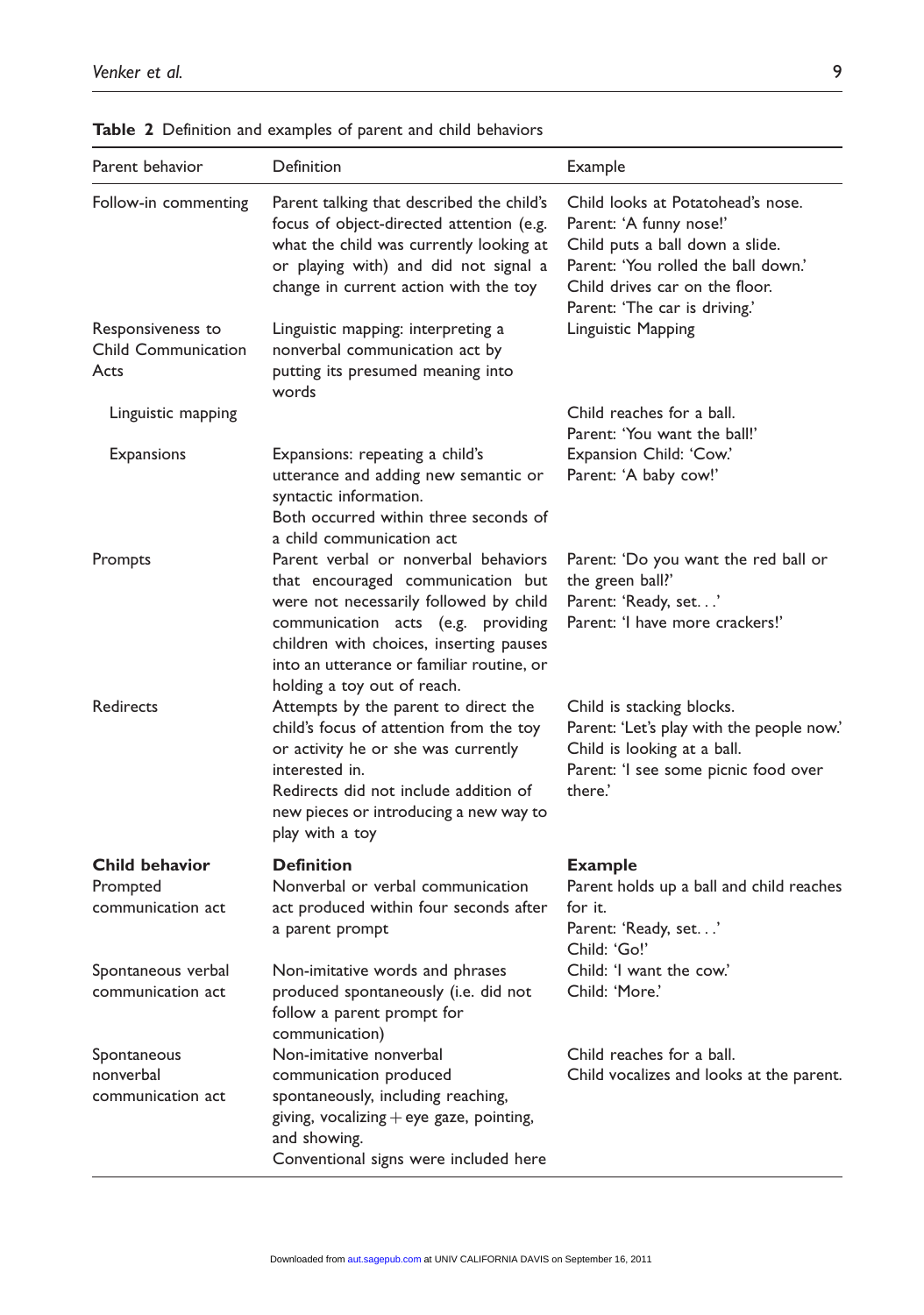| Parent behavior                                        | Definition                                                                                                                                                                                                                                                                       | Example                                                                                                                                                                                                   |
|--------------------------------------------------------|----------------------------------------------------------------------------------------------------------------------------------------------------------------------------------------------------------------------------------------------------------------------------------|-----------------------------------------------------------------------------------------------------------------------------------------------------------------------------------------------------------|
| Follow-in commenting                                   | Parent talking that described the child's<br>focus of object-directed attention (e.g.<br>what the child was currently looking at<br>or playing with) and did not signal a<br>change in current action with the toy                                                               | Child looks at Potatohead's nose.<br>Parent: 'A funny nose!'<br>Child puts a ball down a slide.<br>Parent: 'You rolled the ball down.'<br>Child drives car on the floor.<br>Parent: 'The car is driving.' |
| Responsiveness to<br>Child Communication<br>Acts       | Linguistic mapping: interpreting a<br>nonverbal communication act by<br>putting its presumed meaning into<br>words                                                                                                                                                               | Linguistic Mapping                                                                                                                                                                                        |
| Linguistic mapping                                     |                                                                                                                                                                                                                                                                                  | Child reaches for a ball.<br>Parent: 'You want the ball!'                                                                                                                                                 |
| <b>Expansions</b>                                      | Expansions: repeating a child's<br>utterance and adding new semantic or<br>syntactic information.<br>Both occurred within three seconds of<br>a child communication act                                                                                                          | Expansion Child: 'Cow.'<br>Parent: 'A baby cow!'                                                                                                                                                          |
| Prompts                                                | Parent verbal or nonverbal behaviors<br>that encouraged communication but<br>were not necessarily followed by child<br>communication acts (e.g. providing<br>children with choices, inserting pauses<br>into an utterance or familiar routine, or<br>holding a toy out of reach. | Parent: 'Do you want the red ball or<br>the green ball?'<br>Parent: 'Ready, set'<br>Parent: 'I have more crackers!'                                                                                       |
| Redirects                                              | Attempts by the parent to direct the<br>child's focus of attention from the toy<br>or activity he or she was currently<br>interested in.<br>Redirects did not include addition of<br>new pieces or introducing a new way to<br>play with a toy                                   | Child is stacking blocks.<br>Parent: 'Let's play with the people now.'<br>Child is looking at a ball.<br>Parent: 'I see some picnic food over<br>there.'                                                  |
| <b>Child behavior</b><br>Prompted<br>communication act | <b>Definition</b><br>Nonverbal or verbal communication<br>act produced within four seconds after<br>a parent prompt                                                                                                                                                              | <b>Example</b><br>Parent holds up a ball and child reaches<br>for it.<br>Parent: 'Ready, set'<br>Child: 'Go!'                                                                                             |
| Spontaneous verbal<br>communication act                | Non-imitative words and phrases<br>produced spontaneously (i.e. did not<br>follow a parent prompt for<br>communication)                                                                                                                                                          | Child: 'I want the cow.'<br>Child: 'More.'                                                                                                                                                                |
| Spontaneous<br>nonverbal<br>communication act          | Non-imitative nonverbal<br>communication produced<br>spontaneously, including reaching,<br>giving, vocalizing $+$ eye gaze, pointing,<br>and showing.<br>Conventional signs were included here                                                                                   | Child reaches for a ball.<br>Child vocalizes and looks at the parent.                                                                                                                                     |

Table 2 Definition and examples of parent and child behaviors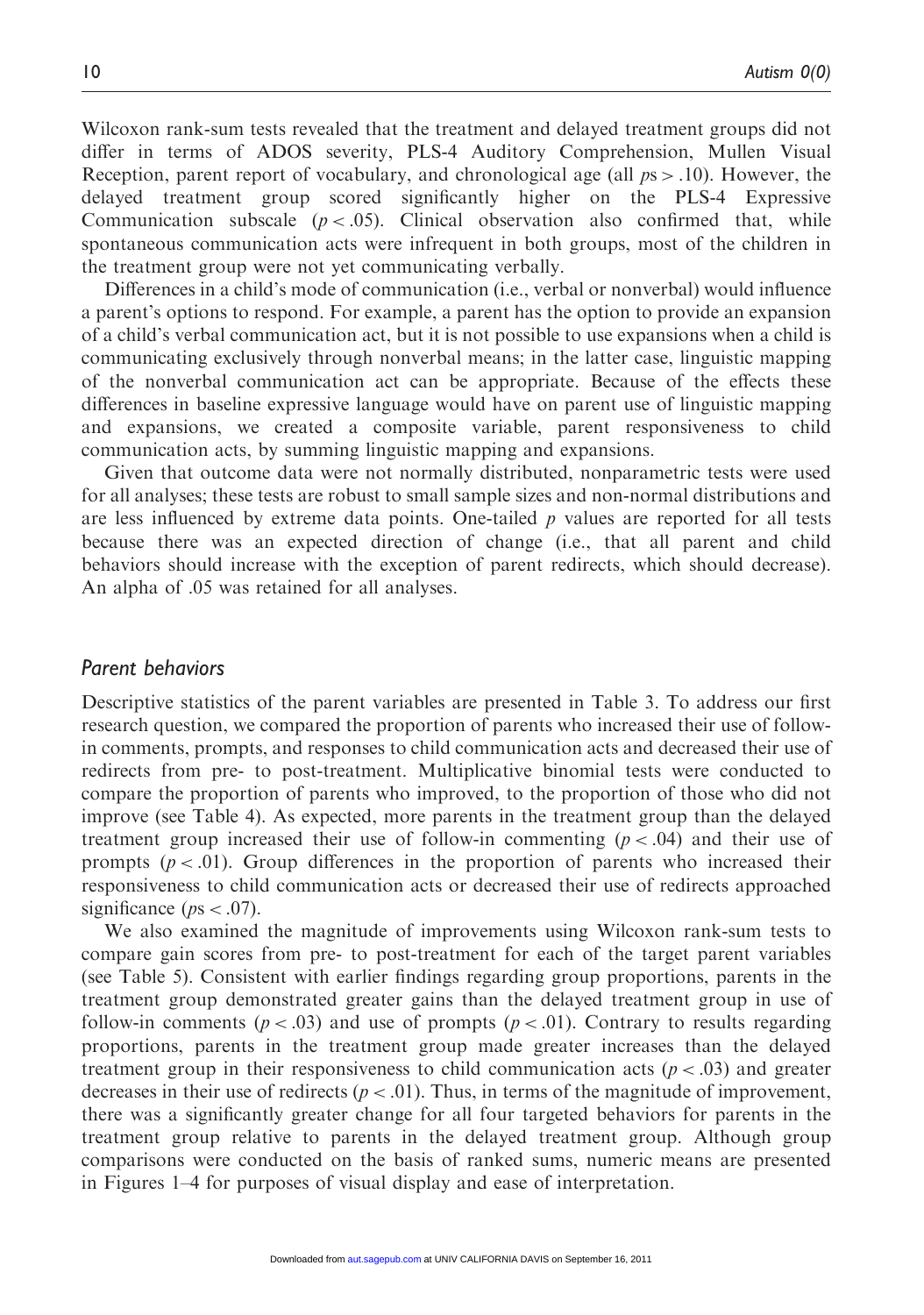Wilcoxon rank-sum tests revealed that the treatment and delayed treatment groups did not differ in terms of ADOS severity, PLS-4 Auditory Comprehension, Mullen Visual Reception, parent report of vocabulary, and chronological age (all  $ps > .10$ ). However, the delayed treatment group scored significantly higher on the PLS-4 Expressive Communication subscale  $(p < .05)$ . Clinical observation also confirmed that, while spontaneous communication acts were infrequent in both groups, most of the children in the treatment group were not yet communicating verbally.

Differences in a child's mode of communication (i.e., verbal or nonverbal) would influence a parent's options to respond. For example, a parent has the option to provide an expansion of a child's verbal communication act, but it is not possible to use expansions when a child is communicating exclusively through nonverbal means; in the latter case, linguistic mapping of the nonverbal communication act can be appropriate. Because of the effects these differences in baseline expressive language would have on parent use of linguistic mapping and expansions, we created a composite variable, parent responsiveness to child communication acts, by summing linguistic mapping and expansions.

Given that outcome data were not normally distributed, nonparametric tests were used for all analyses; these tests are robust to small sample sizes and non-normal distributions and are less influenced by extreme data points. One-tailed  $p$  values are reported for all tests because there was an expected direction of change (i.e., that all parent and child behaviors should increase with the exception of parent redirects, which should decrease). An alpha of .05 was retained for all analyses.

### Parent behaviors

Descriptive statistics of the parent variables are presented in Table 3. To address our first research question, we compared the proportion of parents who increased their use of followin comments, prompts, and responses to child communication acts and decreased their use of redirects from pre- to post-treatment. Multiplicative binomial tests were conducted to compare the proportion of parents who improved, to the proportion of those who did not improve (see Table 4). As expected, more parents in the treatment group than the delayed treatment group increased their use of follow-in commenting  $(p < .04)$  and their use of prompts  $(p < .01)$ . Group differences in the proportion of parents who increased their responsiveness to child communication acts or decreased their use of redirects approached significance ( $ps < .07$ ).

We also examined the magnitude of improvements using Wilcoxon rank-sum tests to compare gain scores from pre- to post-treatment for each of the target parent variables (see Table 5). Consistent with earlier findings regarding group proportions, parents in the treatment group demonstrated greater gains than the delayed treatment group in use of follow-in comments ( $p < .03$ ) and use of prompts ( $p < .01$ ). Contrary to results regarding proportions, parents in the treatment group made greater increases than the delayed treatment group in their responsiveness to child communication acts ( $p < .03$ ) and greater decreases in their use of redirects ( $p < .01$ ). Thus, in terms of the magnitude of improvement, there was a significantly greater change for all four targeted behaviors for parents in the treatment group relative to parents in the delayed treatment group. Although group comparisons were conducted on the basis of ranked sums, numeric means are presented in Figures 1–4 for purposes of visual display and ease of interpretation.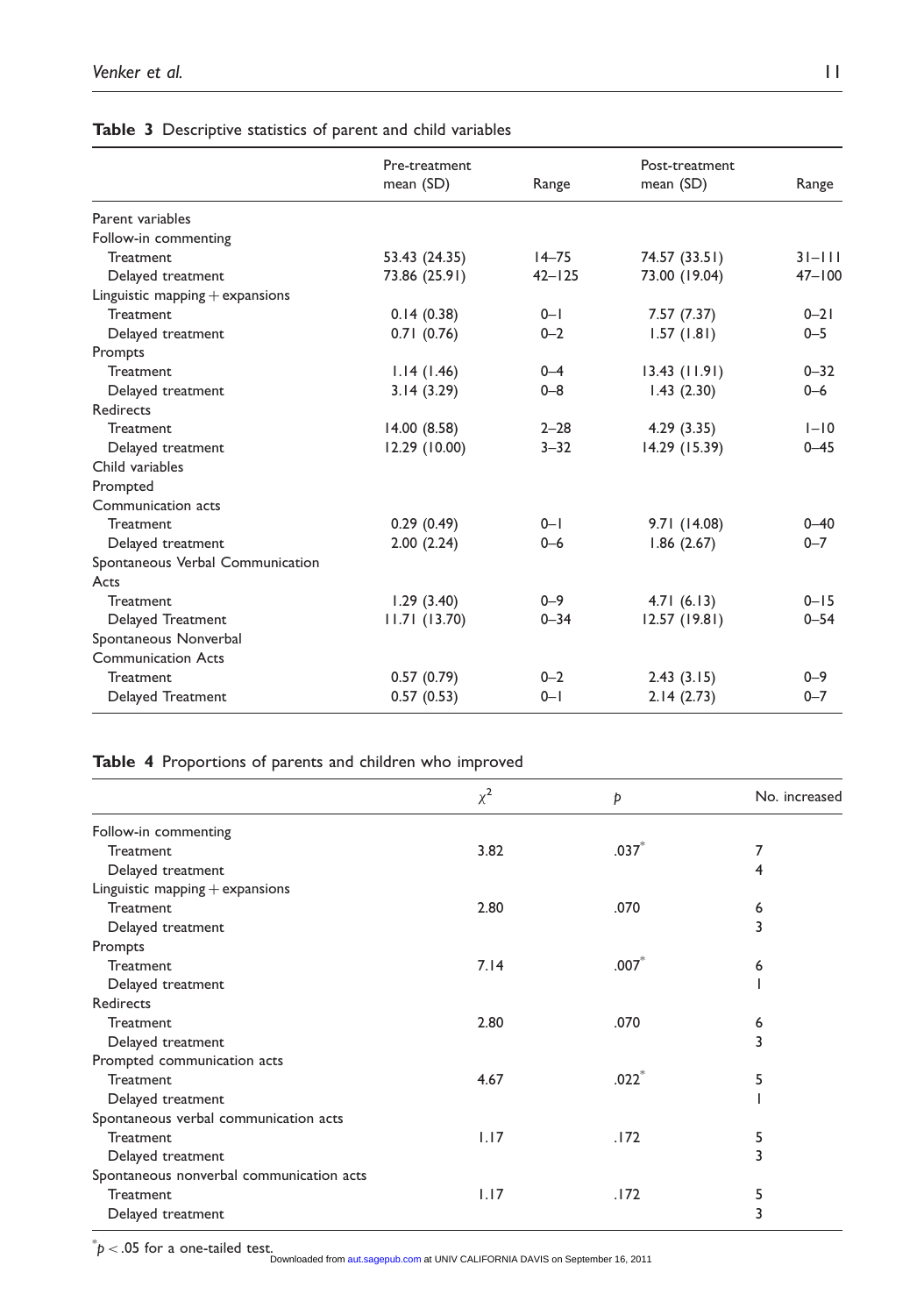|                                   | Pre-treatment<br>mean (SD) | Range      | Post-treatment<br>mean (SD) | Range      |
|-----------------------------------|----------------------------|------------|-----------------------------|------------|
|                                   |                            |            |                             |            |
| Parent variables                  |                            |            |                             |            |
| Follow-in commenting              |                            |            |                             |            |
| <b>Treatment</b>                  | 53.43 (24.35)              | $14 - 75$  | 74.57 (33.51)               | $31 - 111$ |
| Delayed treatment                 | 73.86 (25.91)              | $42 - 125$ | 73.00 (19.04)               | $47 - 100$ |
| Linguistic mapping $+$ expansions |                            |            |                             |            |
| <b>Treatment</b>                  | 0.14(0.38)                 | $0 - 1$    | 7.57(7.37)                  | $0 - 21$   |
| Delayed treatment                 | 0.71(0.76)                 | $0 - 2$    | 1.57(1.81)                  | $0 - 5$    |
| Prompts                           |                            |            |                             |            |
| <b>Treatment</b>                  | 1.14(1.46)                 | $0 - 4$    | $13.43$ (11.91)             | $0 - 32$   |
| Delayed treatment                 | 3.14(3.29)                 | $0 - 8$    | 1.43(2.30)                  | $0 - 6$    |
| <b>Redirects</b>                  |                            |            |                             |            |
| <b>Treatment</b>                  | 14.00(8.58)                | $2 - 28$   | 4.29(3.35)                  | $1 - 10$   |
| Delayed treatment                 | 12.29 (10.00)              | $3 - 32$   | 14.29 (15.39)               | $0 - 45$   |
| Child variables                   |                            |            |                             |            |
| Prompted                          |                            |            |                             |            |
| Communication acts                |                            |            |                             |            |
| Treatment                         | 0.29(0.49)                 | $0 - 1$    | 9.71 (14.08)                | $0 - 40$   |
| Delayed treatment                 | 2.00(2.24)                 | $0 - 6$    | 1.86(2.67)                  | $0 - 7$    |
| Spontaneous Verbal Communication  |                            |            |                             |            |
| Acts                              |                            |            |                             |            |
| Treatment                         | 1.29(3.40)                 | $0 - 9$    | 4.71(6.13)                  | $0 - 15$   |
| Delayed Treatment                 | 11.71(13.70)               | $0 - 34$   | 12.57(19.81)                | $0 - 54$   |
| Spontaneous Nonverbal             |                            |            |                             |            |
| <b>Communication Acts</b>         |                            |            |                             |            |
| <b>Treatment</b>                  | 0.57(0.79)                 | $0 - 2$    | 2.43(3.15)                  | $0 - 9$    |
| Delayed Treatment                 | 0.57(0.53)                 | $0 - 1$    | 2.14(2.73)                  | $0 - 7$    |

#### Table 3 Descriptive statistics of parent and child variables

#### Table 4 Proportions of parents and children who improved

|                                          | $\chi^2$ | Þ       | No. increased |
|------------------------------------------|----------|---------|---------------|
| Follow-in commenting                     |          |         |               |
| <b>Treatment</b>                         | 3.82     | $.037*$ | 7             |
| Delayed treatment                        |          |         | 4             |
| Linguistic mapping $+$ expansions        |          |         |               |
| <b>Treatment</b>                         | 2.80     | .070    | 6             |
| Delayed treatment                        |          |         | 3             |
| Prompts                                  |          |         |               |
| <b>Treatment</b>                         | 7.14     | .007    | 6             |
| Delayed treatment                        |          |         |               |
| Redirects                                |          |         |               |
| <b>Treatment</b>                         | 2.80     | .070    | 6             |
| Delayed treatment                        |          |         | 3             |
| Prompted communication acts              |          |         |               |
| <b>Treatment</b>                         | 4.67     | $.022*$ | 5             |
| Delayed treatment                        |          |         |               |
| Spontaneous verbal communication acts    |          |         |               |
| <b>Treatment</b>                         | 1.17     | .172    | 5             |
| Delayed treatment                        |          |         | 3             |
| Spontaneous nonverbal communication acts |          |         |               |
| <b>Treatment</b>                         | 1.17     | .172    | 5             |
| Delayed treatment                        |          |         | 3             |

\* p <.05 for a one-tailed test. Downloaded fro[m aut.sagepub.com](http://aut.sagepub.com/) at UNIV CALIFORNIA DAVIS on September 16, 2011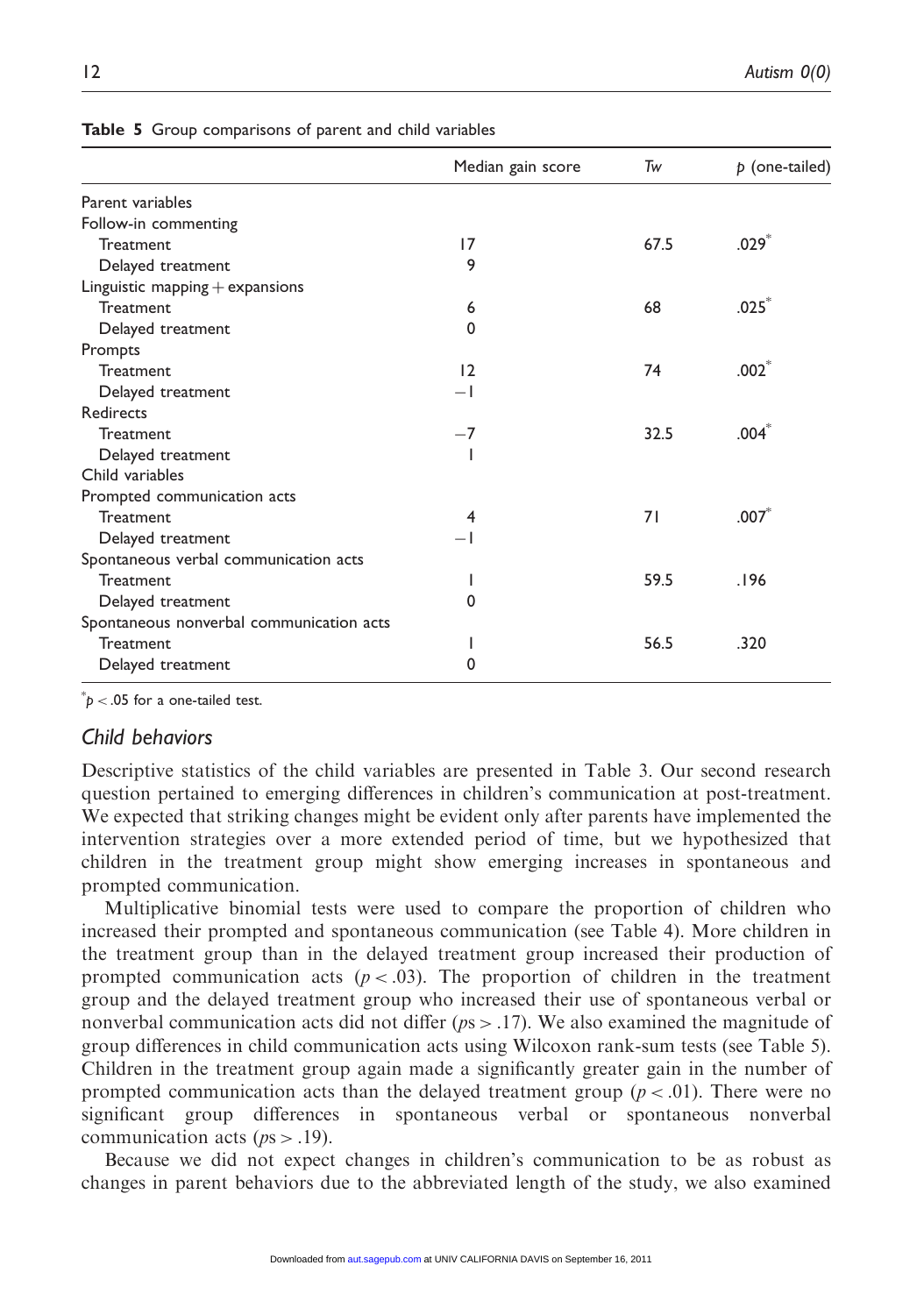|                                          | Median gain score | Tw   | $p$ (one-tailed) |
|------------------------------------------|-------------------|------|------------------|
| Parent variables                         |                   |      |                  |
| Follow-in commenting                     |                   |      |                  |
| <b>Treatment</b>                         | 17                | 67.5 | $.029*$          |
| Delayed treatment                        | 9                 |      |                  |
| Linguistic mapping $+$ expansions        |                   |      |                  |
| <b>Treatment</b>                         | 6                 | 68   | $.025^{*}$       |
| Delayed treatment                        | $\Omega$          |      |                  |
| Prompts                                  |                   |      |                  |
| <b>Treatment</b>                         | 12                | 74   | $.002*$          |
| Delayed treatment                        | $-1$              |      |                  |
| <b>Redirects</b>                         |                   |      |                  |
| <b>Treatment</b>                         | $-7$              | 32.5 | $.004*$          |
| Delayed treatment                        |                   |      |                  |
| Child variables                          |                   |      |                  |
| Prompted communication acts              |                   |      |                  |
| <b>Treatment</b>                         | 4                 | 71   | .007             |
| Delayed treatment                        | — I               |      |                  |
| Spontaneous verbal communication acts    |                   |      |                  |
| <b>Treatment</b>                         | ı                 | 59.5 | .196             |
| Delayed treatment                        | $\Omega$          |      |                  |
| Spontaneous nonverbal communication acts |                   |      |                  |
| <b>Treatment</b>                         | ı                 | 56.5 | .320             |
| Delayed treatment                        | 0                 |      |                  |
|                                          |                   |      |                  |

Table 5 Group comparisons of parent and child variables

 $p < .05$  for a one-tailed test.

#### Child behaviors

Descriptive statistics of the child variables are presented in Table 3. Our second research question pertained to emerging differences in children's communication at post-treatment. We expected that striking changes might be evident only after parents have implemented the intervention strategies over a more extended period of time, but we hypothesized that children in the treatment group might show emerging increases in spontaneous and prompted communication.

Multiplicative binomial tests were used to compare the proportion of children who increased their prompted and spontaneous communication (see Table 4). More children in the treatment group than in the delayed treatment group increased their production of prompted communication acts ( $p < .03$ ). The proportion of children in the treatment group and the delayed treatment group who increased their use of spontaneous verbal or nonverbal communication acts did not differ ( $ps > .17$ ). We also examined the magnitude of group differences in child communication acts using Wilcoxon rank-sum tests (see Table 5). Children in the treatment group again made a significantly greater gain in the number of prompted communication acts than the delayed treatment group ( $p < .01$ ). There were no significant group differences in spontaneous verbal or spontaneous nonverbal communication acts ( $ps > .19$ ).

Because we did not expect changes in children's communication to be as robust as changes in parent behaviors due to the abbreviated length of the study, we also examined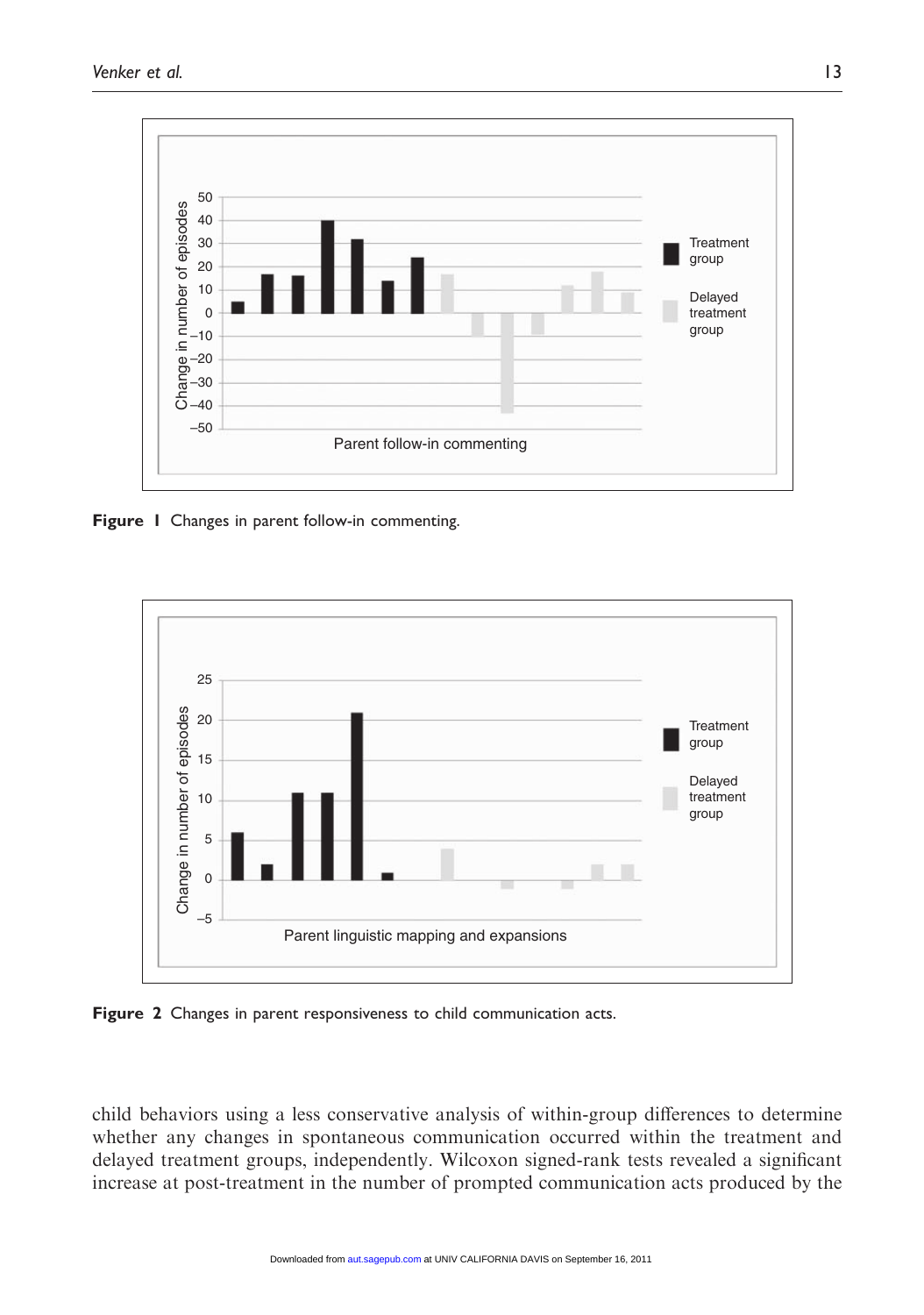

Figure 1 Changes in parent follow-in commenting.



child behaviors using a less conservative analysis of within-group differences to determine whether any changes in spontaneous communication occurred within the treatment and delayed treatment groups, independently. Wilcoxon signed-rank tests revealed a significant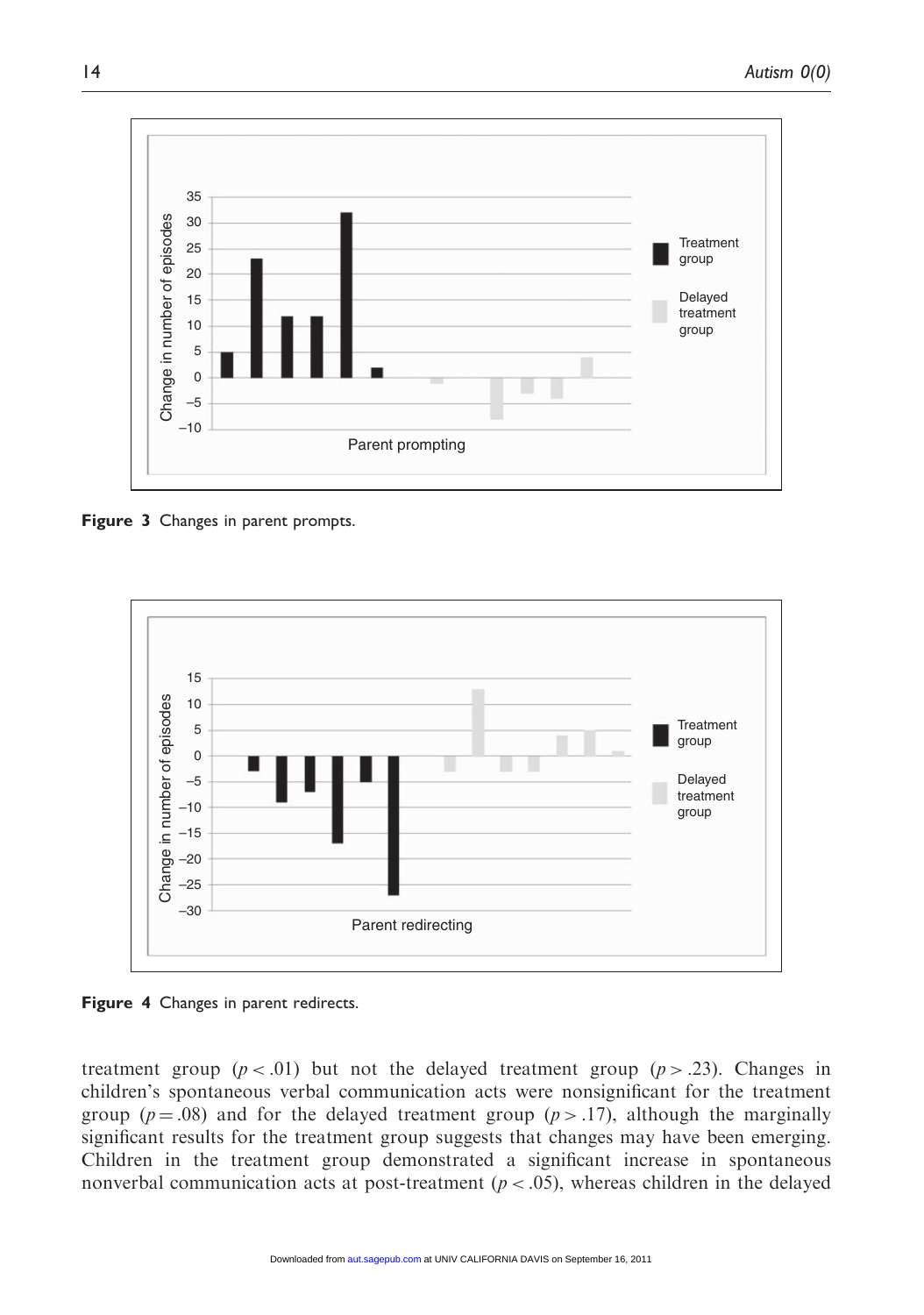

Figure 3 Changes in parent prompts.



treatment group  $(p < .01)$  but not the delayed treatment group  $(p > .23)$ . Changes in children's spontaneous verbal communication acts were nonsignificant for the treatment group ( $p = .08$ ) and for the delayed treatment group ( $p > .17$ ), although the marginally significant results for the treatment group suggests that changes may have been emerging. Children in the treatment group demonstrated a significant increase in spontaneous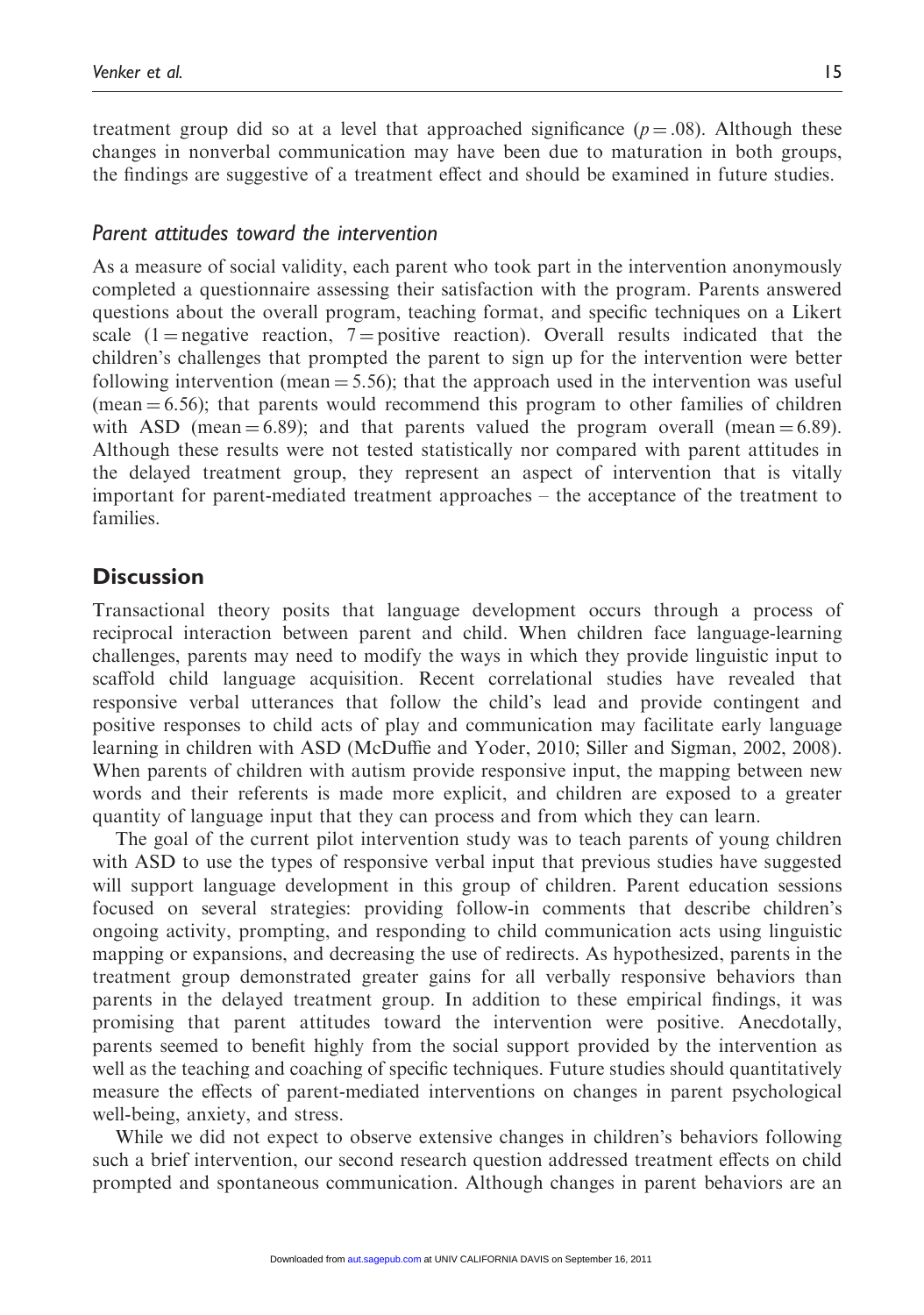treatment group did so at a level that approached significance ( $p = .08$ ). Although these changes in nonverbal communication may have been due to maturation in both groups, the findings are suggestive of a treatment effect and should be examined in future studies.

#### Parent attitudes toward the intervention

As a measure of social validity, each parent who took part in the intervention anonymously completed a questionnaire assessing their satisfaction with the program. Parents answered questions about the overall program, teaching format, and specific techniques on a Likert scale  $(1 =$  negative reaction,  $7 =$  positive reaction). Overall results indicated that the children's challenges that prompted the parent to sign up for the intervention were better following intervention (mean  $=$  5.56); that the approach used in the intervention was useful  $(mean = 6.56)$ ; that parents would recommend this program to other families of children with ASD (mean  $= 6.89$ ); and that parents valued the program overall (mean  $= 6.89$ ). Although these results were not tested statistically nor compared with parent attitudes in the delayed treatment group, they represent an aspect of intervention that is vitally important for parent-mediated treatment approaches – the acceptance of the treatment to families.

### **Discussion**

Transactional theory posits that language development occurs through a process of reciprocal interaction between parent and child. When children face language-learning challenges, parents may need to modify the ways in which they provide linguistic input to scaffold child language acquisition. Recent correlational studies have revealed that responsive verbal utterances that follow the child's lead and provide contingent and positive responses to child acts of play and communication may facilitate early language learning in children with ASD (McDuffie and Yoder, 2010; Siller and Sigman, 2002, 2008). When parents of children with autism provide responsive input, the mapping between new words and their referents is made more explicit, and children are exposed to a greater quantity of language input that they can process and from which they can learn.

The goal of the current pilot intervention study was to teach parents of young children with ASD to use the types of responsive verbal input that previous studies have suggested will support language development in this group of children. Parent education sessions focused on several strategies: providing follow-in comments that describe children's ongoing activity, prompting, and responding to child communication acts using linguistic mapping or expansions, and decreasing the use of redirects. As hypothesized, parents in the treatment group demonstrated greater gains for all verbally responsive behaviors than parents in the delayed treatment group. In addition to these empirical findings, it was promising that parent attitudes toward the intervention were positive. Anecdotally, parents seemed to benefit highly from the social support provided by the intervention as well as the teaching and coaching of specific techniques. Future studies should quantitatively measure the effects of parent-mediated interventions on changes in parent psychological well-being, anxiety, and stress.

While we did not expect to observe extensive changes in children's behaviors following such a brief intervention, our second research question addressed treatment effects on child prompted and spontaneous communication. Although changes in parent behaviors are an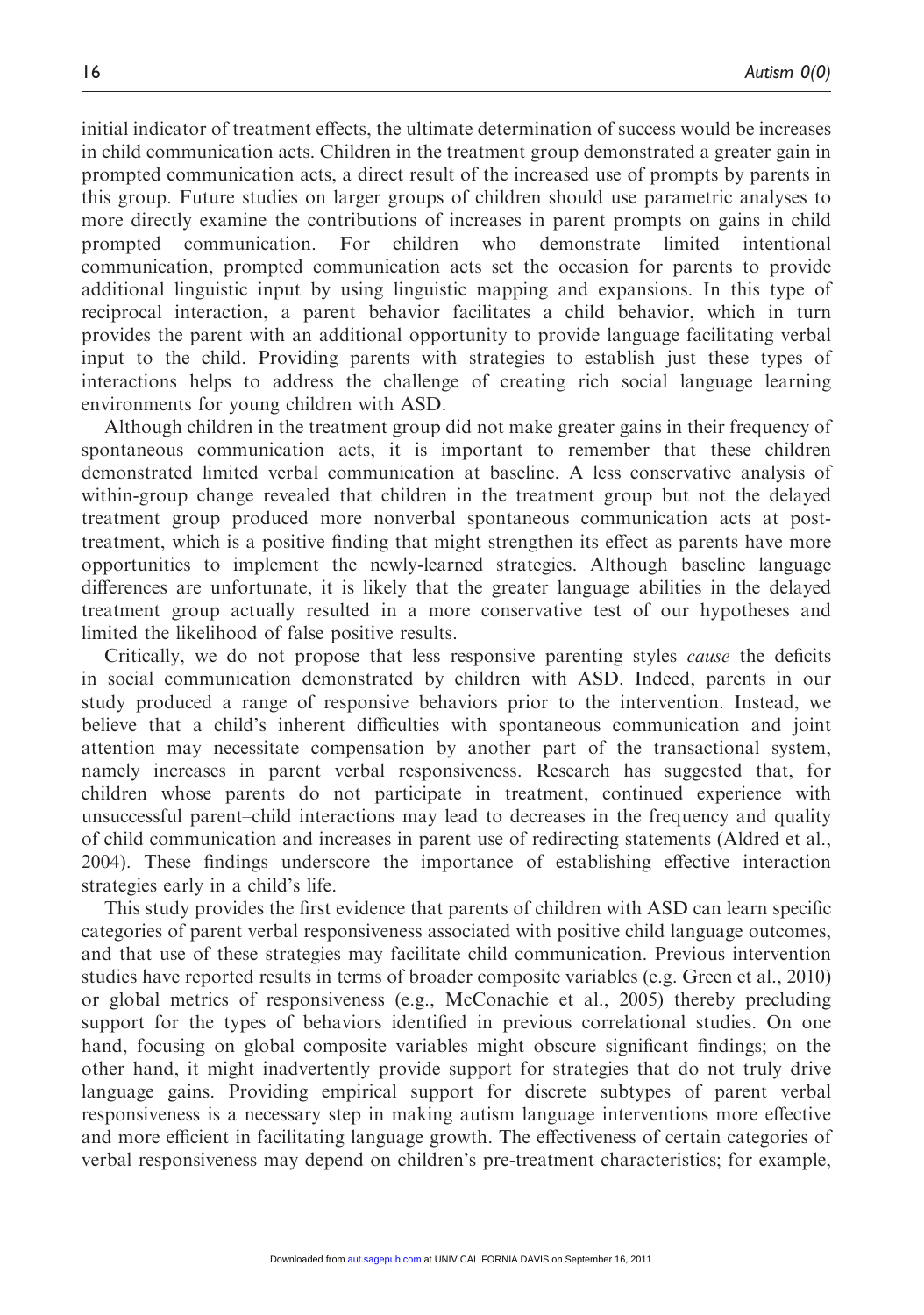initial indicator of treatment effects, the ultimate determination of success would be increases in child communication acts. Children in the treatment group demonstrated a greater gain in prompted communication acts, a direct result of the increased use of prompts by parents in this group. Future studies on larger groups of children should use parametric analyses to more directly examine the contributions of increases in parent prompts on gains in child prompted communication. For children who demonstrate limited intentional communication, prompted communication acts set the occasion for parents to provide additional linguistic input by using linguistic mapping and expansions. In this type of reciprocal interaction, a parent behavior facilitates a child behavior, which in turn provides the parent with an additional opportunity to provide language facilitating verbal input to the child. Providing parents with strategies to establish just these types of interactions helps to address the challenge of creating rich social language learning environments for young children with ASD.

Although children in the treatment group did not make greater gains in their frequency of spontaneous communication acts, it is important to remember that these children demonstrated limited verbal communication at baseline. A less conservative analysis of within-group change revealed that children in the treatment group but not the delayed treatment group produced more nonverbal spontaneous communication acts at posttreatment, which is a positive finding that might strengthen its effect as parents have more opportunities to implement the newly-learned strategies. Although baseline language differences are unfortunate, it is likely that the greater language abilities in the delayed treatment group actually resulted in a more conservative test of our hypotheses and limited the likelihood of false positive results.

Critically, we do not propose that less responsive parenting styles cause the deficits in social communication demonstrated by children with ASD. Indeed, parents in our study produced a range of responsive behaviors prior to the intervention. Instead, we believe that a child's inherent difficulties with spontaneous communication and joint attention may necessitate compensation by another part of the transactional system, namely increases in parent verbal responsiveness. Research has suggested that, for children whose parents do not participate in treatment, continued experience with unsuccessful parent–child interactions may lead to decreases in the frequency and quality of child communication and increases in parent use of redirecting statements (Aldred et al., 2004). These findings underscore the importance of establishing effective interaction strategies early in a child's life.

This study provides the first evidence that parents of children with ASD can learn specific categories of parent verbal responsiveness associated with positive child language outcomes, and that use of these strategies may facilitate child communication. Previous intervention studies have reported results in terms of broader composite variables (e.g. Green et al., 2010) or global metrics of responsiveness (e.g., McConachie et al., 2005) thereby precluding support for the types of behaviors identified in previous correlational studies. On one hand, focusing on global composite variables might obscure significant findings; on the other hand, it might inadvertently provide support for strategies that do not truly drive language gains. Providing empirical support for discrete subtypes of parent verbal responsiveness is a necessary step in making autism language interventions more effective and more efficient in facilitating language growth. The effectiveness of certain categories of verbal responsiveness may depend on children's pre-treatment characteristics; for example,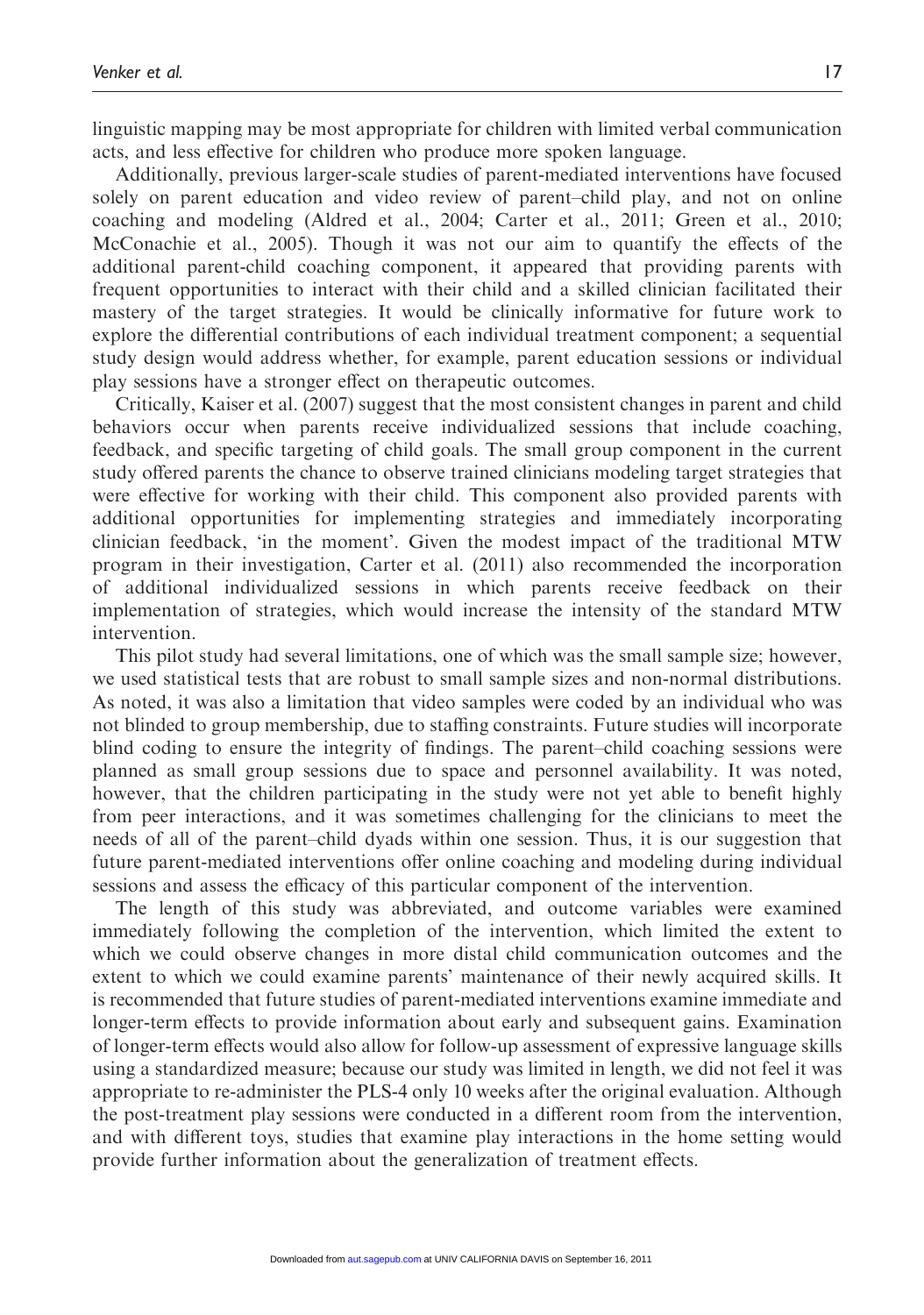linguistic mapping may be most appropriate for children with limited verbal communication acts, and less effective for children who produce more spoken language.

Additionally, previous larger-scale studies of parent-mediated interventions have focused solely on parent education and video review of parent–child play, and not on online coaching and modeling (Aldred et al., 2004; Carter et al., 2011; Green et al., 2010; McConachie et al., 2005). Though it was not our aim to quantify the effects of the additional parent-child coaching component, it appeared that providing parents with frequent opportunities to interact with their child and a skilled clinician facilitated their mastery of the target strategies. It would be clinically informative for future work to explore the differential contributions of each individual treatment component; a sequential study design would address whether, for example, parent education sessions or individual play sessions have a stronger effect on therapeutic outcomes.

Critically, Kaiser et al. (2007) suggest that the most consistent changes in parent and child behaviors occur when parents receive individualized sessions that include coaching, feedback, and specific targeting of child goals. The small group component in the current study offered parents the chance to observe trained clinicians modeling target strategies that were effective for working with their child. This component also provided parents with additional opportunities for implementing strategies and immediately incorporating clinician feedback, 'in the moment'. Given the modest impact of the traditional MTW program in their investigation, Carter et al. (2011) also recommended the incorporation of additional individualized sessions in which parents receive feedback on their implementation of strategies, which would increase the intensity of the standard MTW intervention.

This pilot study had several limitations, one of which was the small sample size; however, we used statistical tests that are robust to small sample sizes and non-normal distributions. As noted, it was also a limitation that video samples were coded by an individual who was not blinded to group membership, due to staffing constraints. Future studies will incorporate blind coding to ensure the integrity of findings. The parent–child coaching sessions were planned as small group sessions due to space and personnel availability. It was noted, however, that the children participating in the study were not yet able to benefit highly from peer interactions, and it was sometimes challenging for the clinicians to meet the needs of all of the parent–child dyads within one session. Thus, it is our suggestion that future parent-mediated interventions offer online coaching and modeling during individual sessions and assess the efficacy of this particular component of the intervention.

The length of this study was abbreviated, and outcome variables were examined immediately following the completion of the intervention, which limited the extent to which we could observe changes in more distal child communication outcomes and the extent to which we could examine parents' maintenance of their newly acquired skills. It is recommended that future studies of parent-mediated interventions examine immediate and longer-term effects to provide information about early and subsequent gains. Examination of longer-term effects would also allow for follow-up assessment of expressive language skills using a standardized measure; because our study was limited in length, we did not feel it was appropriate to re-administer the PLS-4 only 10 weeks after the original evaluation. Although the post-treatment play sessions were conducted in a different room from the intervention, and with different toys, studies that examine play interactions in the home setting would provide further information about the generalization of treatment effects.